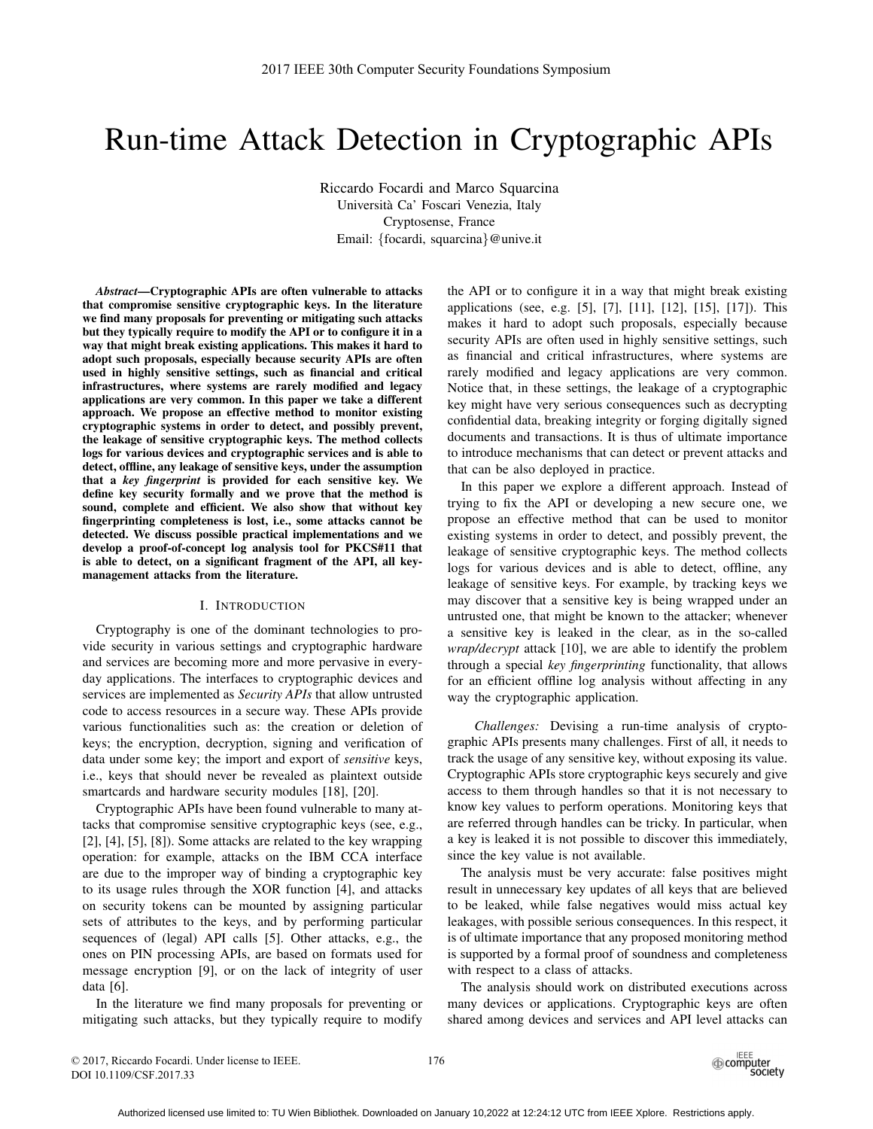# Run-time Attack Detection in Cryptographic APIs

Riccardo Focardi and Marco Squarcina Universita Ca' Foscari Venezia, Italy ` Cryptosense, France Email: {focardi, squarcina}@unive.it

*Abstract*—Cryptographic APIs are often vulnerable to attacks that compromise sensitive cryptographic keys. In the literature we find many proposals for preventing or mitigating such attacks but they typically require to modify the API or to configure it in a way that might break existing applications. This makes it hard to adopt such proposals, especially because security APIs are often used in highly sensitive settings, such as financial and critical infrastructures, where systems are rarely modified and legacy applications are very common. In this paper we take a different approach. We propose an effective method to monitor existing cryptographic systems in order to detect, and possibly prevent, the leakage of sensitive cryptographic keys. The method collects logs for various devices and cryptographic services and is able to detect, offline, any leakage of sensitive keys, under the assumption that a *key fingerprint* is provided for each sensitive key. We define key security formally and we prove that the method is sound, complete and efficient. We also show that without key fingerprinting completeness is lost, i.e., some attacks cannot be detected. We discuss possible practical implementations and we develop a proof-of-concept log analysis tool for PKCS#11 that is able to detect, on a significant fragment of the API, all keymanagement attacks from the literature.

## I. INTRODUCTION

Cryptography is one of the dominant technologies to provide security in various settings and cryptographic hardware and services are becoming more and more pervasive in everyday applications. The interfaces to cryptographic devices and services are implemented as *Security APIs* that allow untrusted code to access resources in a secure way. These APIs provide various functionalities such as: the creation or deletion of keys; the encryption, decryption, signing and verification of data under some key; the import and export of *sensitive* keys, i.e., keys that should never be revealed as plaintext outside smartcards and hardware security modules [18], [20].

Cryptographic APIs have been found vulnerable to many attacks that compromise sensitive cryptographic keys (see, e.g., [2], [4], [5], [8]). Some attacks are related to the key wrapping operation: for example, attacks on the IBM CCA interface are due to the improper way of binding a cryptographic key to its usage rules through the XOR function [4], and attacks on security tokens can be mounted by assigning particular sets of attributes to the keys, and by performing particular sequences of (legal) API calls [5]. Other attacks, e.g., the ones on PIN processing APIs, are based on formats used for message encryption [9], or on the lack of integrity of user data [6].

In the literature we find many proposals for preventing or mitigating such attacks, but they typically require to modify the API or to configure it in a way that might break existing applications (see, e.g. [5], [7], [11], [12], [15], [17]). This makes it hard to adopt such proposals, especially because security APIs are often used in highly sensitive settings, such as financial and critical infrastructures, where systems are rarely modified and legacy applications are very common. Notice that, in these settings, the leakage of a cryptographic key might have very serious consequences such as decrypting confidential data, breaking integrity or forging digitally signed documents and transactions. It is thus of ultimate importance to introduce mechanisms that can detect or prevent attacks and that can be also deployed in practice.

In this paper we explore a different approach. Instead of trying to fix the API or developing a new secure one, we propose an effective method that can be used to monitor existing systems in order to detect, and possibly prevent, the leakage of sensitive cryptographic keys. The method collects logs for various devices and is able to detect, offline, any leakage of sensitive keys. For example, by tracking keys we may discover that a sensitive key is being wrapped under an untrusted one, that might be known to the attacker; whenever a sensitive key is leaked in the clear, as in the so-called *wrap/decrypt* attack [10], we are able to identify the problem through a special *key fingerprinting* functionality, that allows for an efficient offline log analysis without affecting in any way the cryptographic application.

*Challenges:* Devising a run-time analysis of cryptographic APIs presents many challenges. First of all, it needs to track the usage of any sensitive key, without exposing its value. Cryptographic APIs store cryptographic keys securely and give access to them through handles so that it is not necessary to know key values to perform operations. Monitoring keys that are referred through handles can be tricky. In particular, when a key is leaked it is not possible to discover this immediately, since the key value is not available.

The analysis must be very accurate: false positives might result in unnecessary key updates of all keys that are believed to be leaked, while false negatives would miss actual key leakages, with possible serious consequences. In this respect, it is of ultimate importance that any proposed monitoring method is supported by a formal proof of soundness and completeness with respect to a class of attacks.

The analysis should work on distributed executions across many devices or applications. Cryptographic keys are often shared among devices and services and API level attacks can

© 2017, Riccardo Focardi. Under license to IEEE. DOI 10.1109/CSF.2017.33

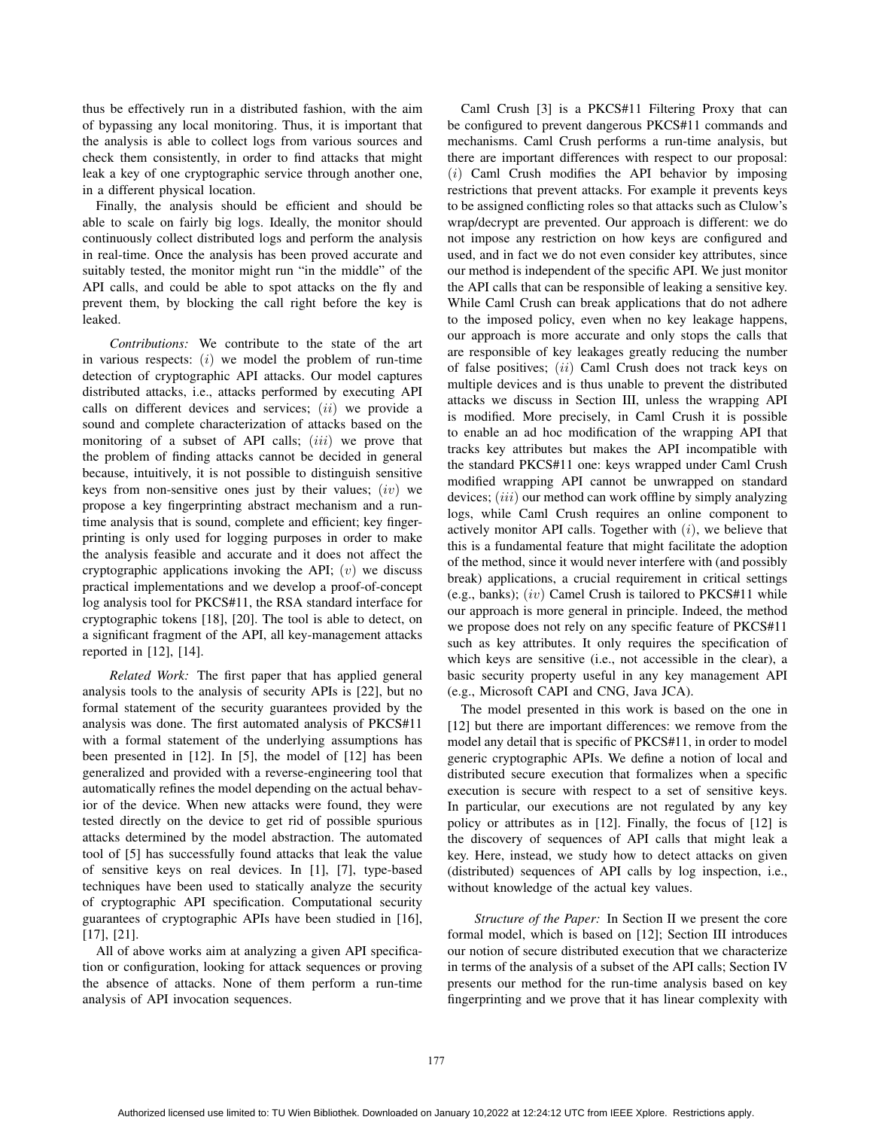thus be effectively run in a distributed fashion, with the aim of bypassing any local monitoring. Thus, it is important that the analysis is able to collect logs from various sources and check them consistently, in order to find attacks that might leak a key of one cryptographic service through another one, in a different physical location.

Finally, the analysis should be efficient and should be able to scale on fairly big logs. Ideally, the monitor should continuously collect distributed logs and perform the analysis in real-time. Once the analysis has been proved accurate and suitably tested, the monitor might run "in the middle" of the API calls, and could be able to spot attacks on the fly and prevent them, by blocking the call right before the key is leaked.

*Contributions:* We contribute to the state of the art in various respects:  $(i)$  we model the problem of run-time detection of cryptographic API attacks. Our model captures distributed attacks, i.e., attacks performed by executing API calls on different devices and services;  $(ii)$  we provide a sound and complete characterization of attacks based on the monitoring of a subset of API calls;  $(iii)$  we prove that the problem of finding attacks cannot be decided in general because, intuitively, it is not possible to distinguish sensitive keys from non-sensitive ones just by their values;  $(iv)$  we propose a key fingerprinting abstract mechanism and a runtime analysis that is sound, complete and efficient; key fingerprinting is only used for logging purposes in order to make the analysis feasible and accurate and it does not affect the cryptographic applications invoking the API; (v) we discuss practical implementations and we develop a proof-of-concept log analysis tool for PKCS#11, the RSA standard interface for cryptographic tokens [18], [20]. The tool is able to detect, on a significant fragment of the API, all key-management attacks reported in [12], [14].

*Related Work:* The first paper that has applied general analysis tools to the analysis of security APIs is [22], but no formal statement of the security guarantees provided by the analysis was done. The first automated analysis of PKCS#11 with a formal statement of the underlying assumptions has been presented in [12]. In [5], the model of [12] has been generalized and provided with a reverse-engineering tool that automatically refines the model depending on the actual behavior of the device. When new attacks were found, they were tested directly on the device to get rid of possible spurious attacks determined by the model abstraction. The automated tool of [5] has successfully found attacks that leak the value of sensitive keys on real devices. In [1], [7], type-based techniques have been used to statically analyze the security of cryptographic API specification. Computational security guarantees of cryptographic APIs have been studied in [16], [17], [21].

All of above works aim at analyzing a given API specification or configuration, looking for attack sequences or proving the absence of attacks. None of them perform a run-time analysis of API invocation sequences.

Caml Crush [3] is a PKCS#11 Filtering Proxy that can be configured to prevent dangerous PKCS#11 commands and mechanisms. Caml Crush performs a run-time analysis, but there are important differences with respect to our proposal:  $(i)$  Caml Crush modifies the API behavior by imposing restrictions that prevent attacks. For example it prevents keys to be assigned conflicting roles so that attacks such as Clulow's wrap/decrypt are prevented. Our approach is different: we do not impose any restriction on how keys are configured and used, and in fact we do not even consider key attributes, since our method is independent of the specific API. We just monitor the API calls that can be responsible of leaking a sensitive key. While Caml Crush can break applications that do not adhere to the imposed policy, even when no key leakage happens, our approach is more accurate and only stops the calls that are responsible of key leakages greatly reducing the number of false positives;  $(ii)$  Caml Crush does not track keys on multiple devices and is thus unable to prevent the distributed attacks we discuss in Section III, unless the wrapping API is modified. More precisely, in Caml Crush it is possible to enable an ad hoc modification of the wrapping API that tracks key attributes but makes the API incompatible with the standard PKCS#11 one: keys wrapped under Caml Crush modified wrapping API cannot be unwrapped on standard devices; (iii) our method can work offline by simply analyzing logs, while Caml Crush requires an online component to actively monitor API calls. Together with  $(i)$ , we believe that this is a fundamental feature that might facilitate the adoption of the method, since it would never interfere with (and possibly break) applications, a crucial requirement in critical settings (e.g., banks);  $(iv)$  Camel Crush is tailored to PKCS#11 while our approach is more general in principle. Indeed, the method we propose does not rely on any specific feature of PKCS#11 such as key attributes. It only requires the specification of which keys are sensitive (i.e., not accessible in the clear), a basic security property useful in any key management API (e.g., Microsoft CAPI and CNG, Java JCA).

The model presented in this work is based on the one in [12] but there are important differences: we remove from the model any detail that is specific of PKCS#11, in order to model generic cryptographic APIs. We define a notion of local and distributed secure execution that formalizes when a specific execution is secure with respect to a set of sensitive keys. In particular, our executions are not regulated by any key policy or attributes as in [12]. Finally, the focus of [12] is the discovery of sequences of API calls that might leak a key. Here, instead, we study how to detect attacks on given (distributed) sequences of API calls by log inspection, i.e., without knowledge of the actual key values.

*Structure of the Paper:* In Section II we present the core formal model, which is based on [12]; Section III introduces our notion of secure distributed execution that we characterize in terms of the analysis of a subset of the API calls; Section IV presents our method for the run-time analysis based on key fingerprinting and we prove that it has linear complexity with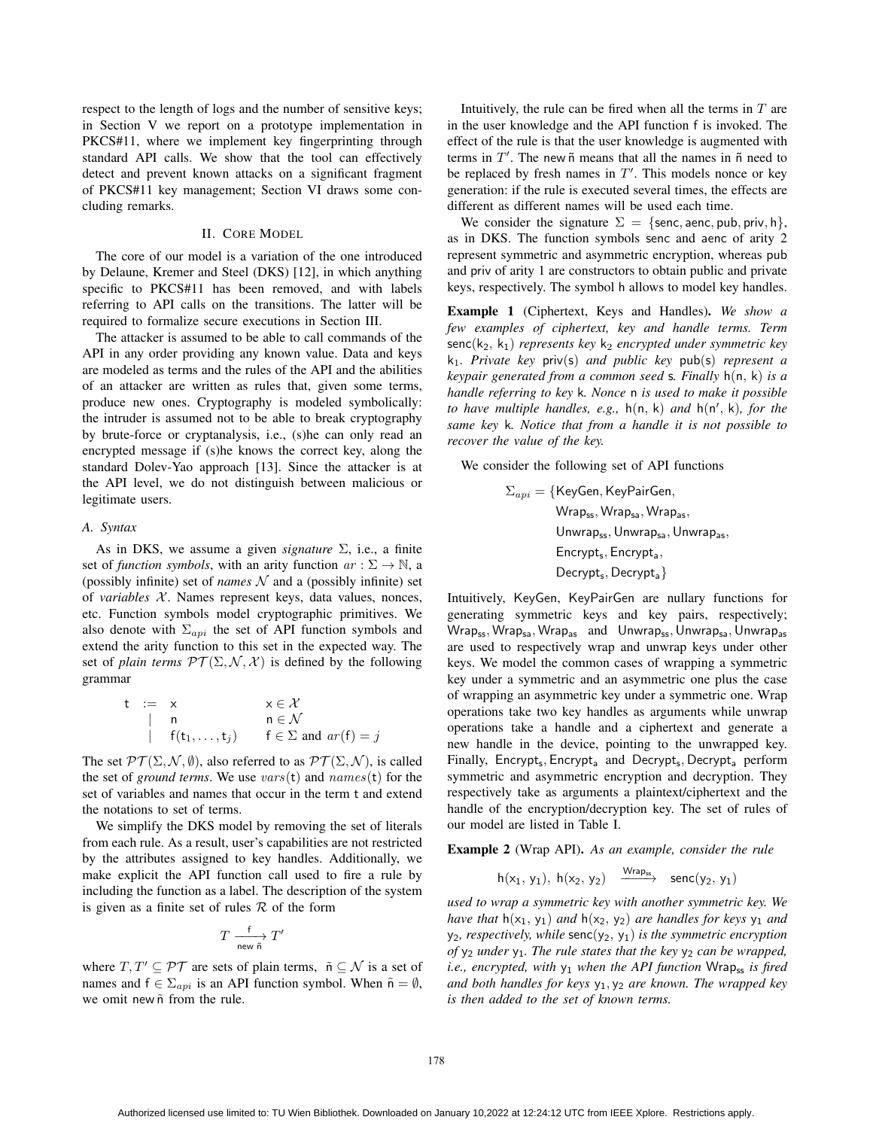respect to the length of logs and the number of sensitive keys; in Section V we report on a prototype implementation in PKCS#11, where we implement key fingerprinting through standard API calls. We show that the tool can effectively detect and prevent known attacks on a significant fragment of PKCS#11 key management; Section VI draws some concluding remarks.

## II. CORE MODEL

The core of our model is a variation of the one introduced by Delaune, Kremer and Steel (DKS) [12], in which anything specific to PKCS#11 has been removed, and with labels referring to API calls on the transitions. The latter will be required to formalize secure executions in Section III.

The attacker is assumed to be able to call commands of the API in any order providing any known value. Data and keys are modeled as terms and the rules of the API and the abilities of an attacker are written as rules that, given some terms, produce new ones. Cryptography is modeled symbolically: the intruder is assumed not to be able to break cryptography by brute-force or cryptanalysis, i.e., (s)he can only read an encrypted message if (s)he knows the correct key, along the standard Dolev-Yao approach [13]. Since the attacker is at the API level, we do not distinguish between malicious or legitimate users.

# *A. Syntax*

As in DKS, we assume a given *signature* Σ, i.e., a finite set of *function symbols*, with an arity function  $ar : \Sigma \to \mathbb{N}$ , a (possibly infinite) set of *names*  $\mathcal N$  and a (possibly infinite) set of *variables*  $X$ . Names represent keys, data values, nonces, etc. Function symbols model cryptographic primitives. We also denote with  $\Sigma_{\alpha p i}$  the set of API function symbols and extend the arity function to this set in the expected way. The set of *plain terms*  $\mathcal{PT}(\Sigma, \mathcal{N}, \mathcal{X})$  is defined by the following grammar

$$
\begin{array}{ll}\n\mathsf{t} & := & \mathsf{x} & \mathsf{x} \in \mathcal{X} \\
& | & \mathsf{n} & \mathsf{n} \in \mathcal{N} \\
& | & \mathsf{f}(\mathsf{t}_1, \dots, \mathsf{t}_j) & \mathsf{f} \in \Sigma \text{ and } \mathit{ar}(\mathsf{f}) = j\n\end{array}
$$

The set  $\mathcal{PT}(\Sigma, \mathcal{N}, \emptyset)$ , also referred to as  $\mathcal{PT}(\Sigma, \mathcal{N})$ , is called the set of *ground terms*. We use  $vars(t)$  and  $names(t)$  for the set of variables and names that occur in the term t and extend the notations to set of terms.

We simplify the DKS model by removing the set of literals from each rule. As a result, user's capabilities are not restricted by the attributes assigned to key handles. Additionally, we make explicit the API function call used to fire a rule by including the function as a label. The description of the system is given as a finite set of rules  $R$  of the form

$$
T \xrightarrow{\text{f} \atop \text{new fi}} T'
$$

where  $T, T' \subseteq \mathcal{PT}$  are sets of plain terms,  $\tilde{n} \subseteq \mathcal{N}$  is a set of parmers and  $f \in \Sigma$  is an API function symbol. When  $\tilde{n} = \emptyset$ names and  $f \in \sum_{api}$  is an API function symbol. When  $\tilde{n} = \emptyset$ , we omit new  $\tilde{n}$  from the rule.

Intuitively, the rule can be fired when all the terms in  $T$  are in the user knowledge and the API function f is invoked. The effect of the rule is that the user knowledge is augmented with terms in  $T'$ . The new  $\tilde{n}$  means that all the names in  $\tilde{n}$  need to the replaced by fresh names in  $T'$ . This models nonce or key be replaced by fresh names in  $T'$ . This models nonce or key<br>generation: if the rule is executed several times, the effects are generation: if the rule is executed several times, the effects are different as different names will be used each time.

We consider the signature  $\Sigma = \{\text{senc}, \text{aenc}, \text{pub}, \text{priv}, \text{h}\},\$ as in DKS. The function symbols senc and aenc of arity 2 represent symmetric and asymmetric encryption, whereas pub and priv of arity 1 are constructors to obtain public and private keys, respectively. The symbol h allows to model key handles.

Example 1 (Ciphertext, Keys and Handles). *We show a few examples of ciphertext, key and handle terms. Term* senc(k<sub>2</sub>, k<sub>1</sub>) *represents key* k<sub>2</sub> *encrypted under symmetric key* k1*. Private key* priv(s) *and public key* pub(s) *represent a keypair generated from a common seed* <sup>s</sup>*. Finally* <sup>h</sup>(n, <sup>k</sup>) *is a handle referring to key* k*. Nonce* n *is used to make it possible to have multiple handles, e.g.,*  $h(n, k)$  *and*  $h(n', k)$ *, for the same key*  $k$ *, Notice that from a handle it is not possible to same key* k*. Notice that from a handle it is not possible to recover the value of the key.*

We consider the following set of API functions

 $\Sigma_{api} = \{KeyGen, KeyPairGen,$ Wrapss, Wrapsa, Wrapas, Unwrapss, Unwrapsa, Unwrapas,  $\text{Encrypt}_s,$  Encrypt<sub>a</sub>, Decrypt<sub>s</sub>, Decrypt<sub>a</sub>}

Intuitively, KeyGen, KeyPairGen are nullary functions for generating symmetric keys and key pairs, respectively; Wrap<sub>ss</sub>, Wrap<sub>sa</sub>, Wrap<sub>as</sub> and Unwrap<sub>ss</sub>, Unwrap<sub>as</sub>, Unwrap<sub>as</sub> are used to respectively wrap and unwrap keys under other keys. We model the common cases of wrapping a symmetric key under a symmetric and an asymmetric one plus the case of wrapping an asymmetric key under a symmetric one. Wrap operations take two key handles as arguments while unwrap operations take a handle and a ciphertext and generate a new handle in the device, pointing to the unwrapped key. Finally, Encrypt<sub>s</sub>, Encrypt<sub>a</sub> and Decrypt<sub>s</sub>, Decrypt<sub>a</sub> perform symmetric and asymmetric encryption and decryption. They respectively take as arguments a plaintext/ciphertext and the handle of the encryption/decryption key. The set of rules of our model are listed in Table I.

Example 2 (Wrap API). *As an example, consider the rule*

 $h(x_1, y_1), h(x_2, y_2) \xrightarrow{Wrap_{ss}}$  senc $(y_2, y_1)$ 

*used to wrap a symmetric key with another symmetric key. We have that*  $h(x_1, y_1)$  *and*  $h(x_2, y_2)$  *are handles for keys*  $y_1$  *and* <sup>y</sup>2*, respectively, while* senc(y<sup>2</sup>, <sup>y</sup>1) *is the symmetric encryption of*  $y_2$  *under*  $y_1$ *. The rule states that the key*  $y_2$  *can be wrapped, i.e., encrypted, with*  $y_1$  *when the API function* Wrap<sub>ss</sub> *is fired and both handles for keys* <sup>y</sup><sup>1</sup>, <sup>y</sup><sup>2</sup> *are known. The wrapped key is then added to the set of known terms.*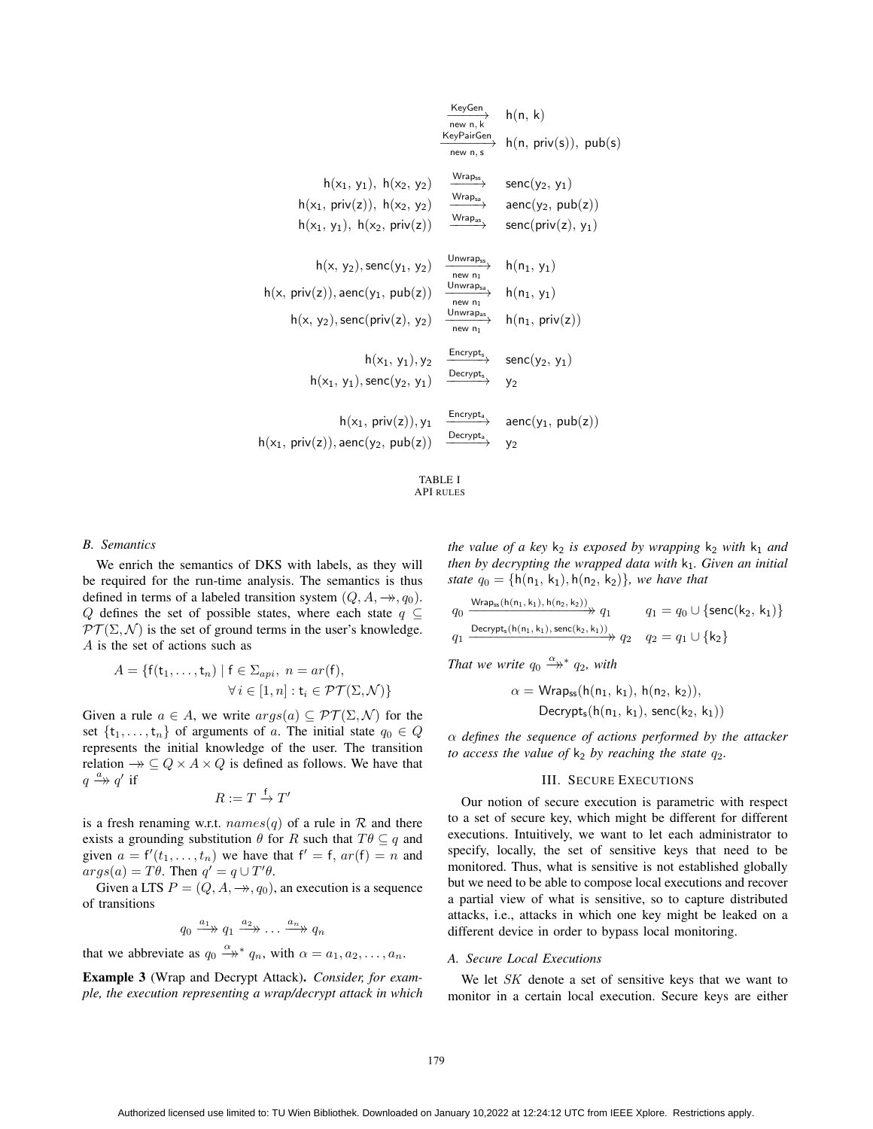$$
\begin{array}{cccccc} \text{KeyGen} & \text{ht}(n, k) & \text{New PairGen} & \text{ht}(n, k) \\ & \xrightarrow{\text{new } n, k} & \text{ht}(n, \text{priv}(s)), \text{ pub}(s) \\ & \xrightarrow{\text{new } n, s} & \text{ht}(n, \text{priv}(s)), \text{ pub}(s) \\ & \xrightarrow{\text{hw } n, s} & \text{senc}(y_2, y_1) \\ & \text{ht}(x_1, \text{priv}(z)), \text{ht}(x_2, y_2) & \xrightarrow{\text{Wrap}_{ss}} & \text{senc}(y_2, \text{pub}(z)) \\ & \text{ht}(x_1, y_1), \text{ht}(x_2, \text{priv}(z)) & \xrightarrow{\text{Wrap}_{ss}} & \text{senc}(\text{priv}(z), y_1) \\ & \text{ht}(x, y_2), \text{senc}(y_1, y_2) & \xrightarrow{\text{Mown}_{n_2}} & \text{ht}(n_1, y_1) \\ & \text{ht}(x, \text{priv}(z)), \text{aenc}(y_1, \text{pub}(z)) & \xrightarrow{\text{Mown}_{n_2}} & \text{ht}(n_1, y_1) \\ & \text{ht}(x, y_2), \text{senc}(\text{priv}(z), y_2) & \xrightarrow{\text{Mown}_{n_2}} & \text{ht}(n_1, \text{priv}(z)) \\ & \text{ht}(x_1, y_1), y_2 & \xrightarrow{\text{Encrypt}_{s}} & \text{senc}(y_2, y_1) \\ & \text{ht}(x_1, y_1), \text{senc}(y_2, y_1) & \xrightarrow{\text{Decrypt}_{s}} & \text{senc}(y_1, \text{pub}(z)) \\ & \text{ht}(x_1, \text{priv}(z)), \text{aenc}(y_2, \text{pub}(z)) & \xrightarrow{\text{Decrypt}_{s}} & \text{parc}(y_1, \text{pub}(z)) \\ \end{array}
$$



#### *B. Semantics*

We enrich the semantics of DKS with labels, as they will be required for the run-time analysis. The semantics is thus defined in terms of a labeled transition system  $(Q, A, \rightarrow, q_0)$ . Q defines the set of possible states, where each state  $q \subseteq$  $PT(\Sigma, \mathcal{N})$  is the set of ground terms in the user's knowledge. A is the set of actions such as

$$
A = \{f(t_1, ..., t_n) \mid f \in \Sigma_{api}, n = ar(f),
$$
  

$$
\forall i \in [1, n] : t_i \in \mathcal{PT}(\Sigma, \mathcal{N})\}
$$

Given a rule  $a \in A$ , we write  $args(a) \subseteq PT(\Sigma, \mathcal{N})$  for the set  $\{t_1,\ldots,t_n\}$  of arguments of a. The initial state  $q_0 \in Q$ represents the initial knowledge of the user. The transition relation  $\rightarrow \subseteq Q \times A \times Q$  is defined as follows. We have that  $q \xrightarrow{a} q'$  if

$$
R := T \xrightarrow{f} T'
$$

is a fresh renaming w.r.t.  $names(q)$  of a rule in  $R$  and there exists a grounding substitution  $\theta$  for R such that  $T\theta \subseteq q$  and given  $a = f'(t_1,...,t_n)$  we have that  $f' = f$ ,  $ar(f) = n$  and  $area(a) = T\theta$ . Then  $a' = a + T'\theta$ args(a) = T θ. Then q- <sup>=</sup> q <sup>∪</sup> T- θ.

Given a LTS  $P = (Q, A, \rightarrow g_0)$ , an execution is a sequence of transitions

$$
q_0 \xrightarrow{a_1} q_1 \xrightarrow{a_2} \dots \xrightarrow{a_n} q_n
$$

that we abbreviate as  $q_0 \xrightarrow{\alpha} q_n$ , with  $\alpha = a_1, a_2, \dots, a_n$ .

Example 3 (Wrap and Decrypt Attack). *Consider, for example, the execution representing a wrap/decrypt attack in which* *the value of a key*  $k_2$  *is exposed by wrapping*  $k_2$  *with*  $k_1$  *and then by decrypting the wrapped data with* k1*. Given an initial state*  $q_0 = \{h(n_1, k_1), h(n_2, k_2)\}$ *, we have that*  $\mathbb{W}_{\{2, 0\}}(h(n_1, k_1), h(n_2, k_2))$ 

$$
q_0 \xrightarrow{\text{Wrap}_{\text{ss}}(\text{h}(\text{n}_1, \text{k}_1), \text{h}(\text{n}_2, \text{k}_2))} q_1 \qquad q_1 = q_0 \cup \{\text{senc}(\text{k}_2, \text{k}_1)\}
$$
  

$$
q_1 \xrightarrow{\text{Decrypt}_s(\text{h}(\text{n}_1, \text{k}_1), \text{senc}(\text{k}_2, \text{k}_1))} q_2 \qquad q_2 = q_1 \cup \{\text{k}_2\}
$$

*That we write*  $q_0 \xrightarrow{\alpha} q_2$ , with

$$
\alpha = \mathsf{Wrap}_{\mathsf{ss}}(h(n_1, k_1), h(n_2, k_2)),
$$
  
Decrypt<sub>s</sub> $(h(n_1, k_1), \mathsf{senc}(k_2, k_1))$ 

α *defines the sequence of actions performed by the attacker to access the value of*  $k_2$  *by reaching the state*  $q_2$ *.* 

# III. SECURE EXECUTIONS

Our notion of secure execution is parametric with respect to a set of secure key, which might be different for different executions. Intuitively, we want to let each administrator to specify, locally, the set of sensitive keys that need to be monitored. Thus, what is sensitive is not established globally but we need to be able to compose local executions and recover a partial view of what is sensitive, so to capture distributed attacks, i.e., attacks in which one key might be leaked on a different device in order to bypass local monitoring.

#### *A. Secure Local Executions*

We let SK denote a set of sensitive keys that we want to monitor in a certain local execution. Secure keys are either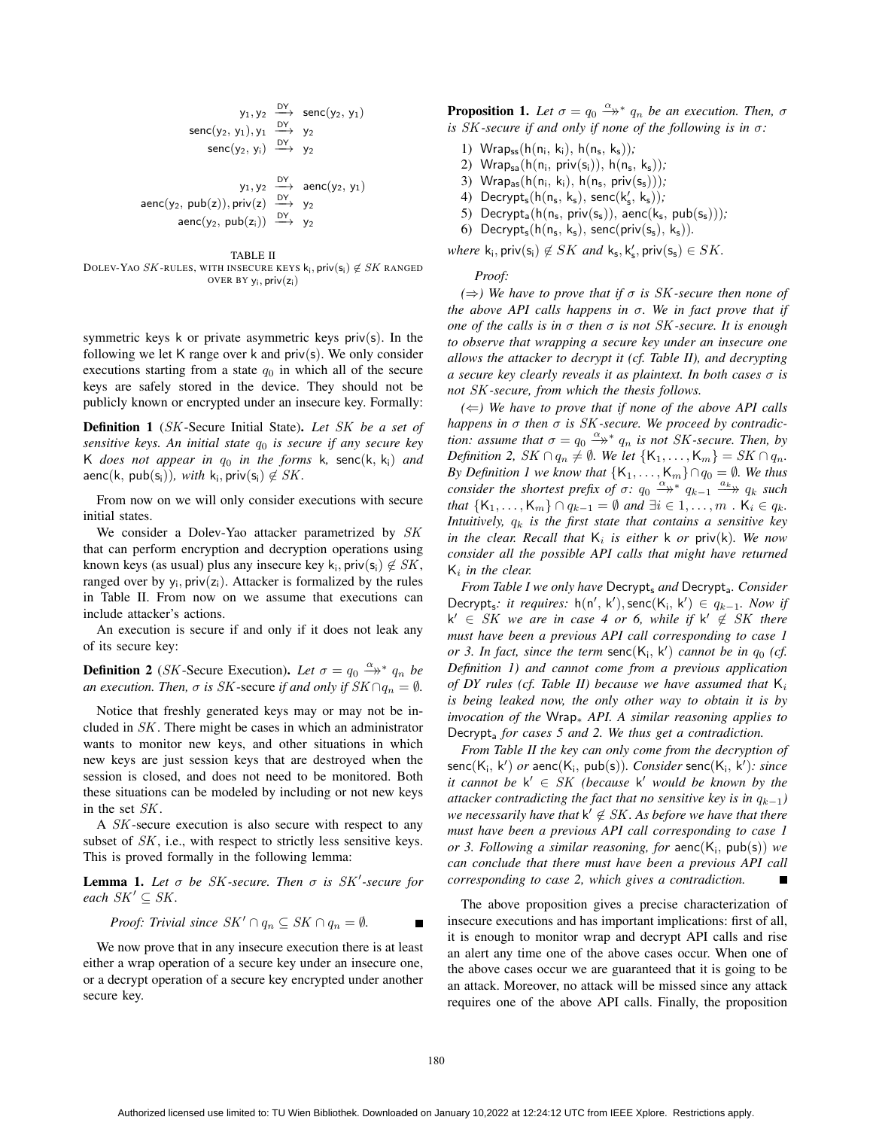$$
\begin{array}{cccc}\n & y_1, y_2 & \xrightarrow{DY} & \mathsf{senc}(y_2, y_1) \\
\mathsf{senc}(y_2, y_1), y_1 & \xrightarrow{DY} & y_2 \\
 & \mathsf{senc}(y_2, y_i) & \xrightarrow{DY} & y_2\n\end{array}
$$
\n
$$
\begin{array}{cccc}\n & y_1, y_2 & \xrightarrow{DY} & \mathsf{aenc}(y_2, y_1) \\
\mathsf{aenc}(y_2, \mathsf{pub}(z)), \mathsf{priv}(z) & \xrightarrow{DY} & y_2 \\
 & \mathsf{aenc}(y_2, \mathsf{pub}(z_i)) & \xrightarrow{DY} & y_2\n\end{array}
$$



symmetric keys  $k$  or private asymmetric keys priv(s). In the following we let K range over  $k$  and  $priv(s)$ . We only consider executions starting from a state  $q_0$  in which all of the secure keys are safely stored in the device. They should not be publicly known or encrypted under an insecure key. Formally:

Definition 1 (SK-Secure Initial State). *Let* SK *be a set of sensitive keys. An initial state*  $q_0$  *is secure if any secure key* K *does not appear in*  $q_0$  *in the forms* k, senc(k, k<sub>i</sub>) *and* aenc(k, pub(s<sub>i</sub>)), with k<sub>i</sub>, priv(s<sub>i</sub>)  $\notin SK$ .

From now on we will only consider executions with secure initial states.

We consider a Dolev-Yao attacker parametrized by SK that can perform encryption and decryption operations using known keys (as usual) plus any insecure key  $k_i$ , priv $(s_i) \notin SK$ , ranged over by  $y_i$ , priv $(z_i)$ . Attacker is formalized by the rules in Table II. From now on we assume that executions can include attacker's actions.

An execution is secure if and only if it does not leak any of its secure key:

**Definition 2** (SK-Secure Execution). Let  $\sigma = q_0 \frac{\alpha_{\gamma*}}{r} q_n$  because the state of  $\sigma = q_0 \frac{\alpha_{\gamma*}}{r} q_n$  because if and only if  $SK \cap q_n = \emptyset$ . *an execution. Then,*  $\sigma$  *is SK*-secure *if and only if*  $SK \cap q_n = \emptyset$ *.* 

Notice that freshly generated keys may or may not be included in SK. There might be cases in which an administrator wants to monitor new keys, and other situations in which new keys are just session keys that are destroyed when the session is closed, and does not need to be monitored. Both these situations can be modeled by including or not new keys in the set SK.

A SK-secure execution is also secure with respect to any subset of SK, i.e., with respect to strictly less sensitive keys. This is proved formally in the following lemma:

**Lemma 1.** Let  $\sigma$  be SK-secure. Then  $\sigma$  is SK<sup>'</sup>-secure for each SK'  $\subset$  SK  $each \, SK' \subseteq SK$ .

*Proof: Trivial since* 
$$
SK' \cap q_n \subseteq SK \cap q_n = \emptyset
$$
.

We now prove that in any insecure execution there is at least either a wrap operation of a secure key under an insecure one, or a decrypt operation of a secure key encrypted under another secure key.

**Proposition 1.** Let  $\sigma = q_0 \xrightarrow{\alpha} * q_n$  be an execution. Then,  $\sigma$  is *SK*-secure if and only if none of the following is in  $\sigma$ . *is* SK*-secure if and only if none of the following is in* σ*:*

- 1) Wrapss(h(n<sup>i</sup>, <sup>k</sup>i), <sup>h</sup>(n<sup>s</sup>, <sup>k</sup>s))*;*
- 2) Wrap<sub>sa</sub> $(h(n_i, priv(s_i)), h(n_s, k_s))$ ;
- 3) Wrap<sub>as</sub> $(h(n_i, k_i), h(n_s, priv(s_s)))$ ;
- 4) Decrypt<sub>s</sub> $(h(n_s, k_s), \text{senc}(k'_s, k_s))$ ;<br>5) Decrypt  $(h(n, \text{priv}(s)))$  aenc $(k;$
- 5) Decrypt<sub>a</sub> $(h(n_s, priv(s_s)),$  aenc $(k_s,pub(s_s)))$ ;
- 6) Decrypt<sub>s</sub> $(h(n_s, k_s),$  senc $(\text{priv}(s_s), k_s)).$

 $where \, k_i, \text{priv}(s_i) \not\in SK \, and \, k_s, k'_s, \text{priv}(s_s) \in SK.$ 

*Proof:*

*(*⇒*) We have to prove that if* σ *is* SK*-secure then none of the above API calls happens in* σ*. We in fact prove that if one of the calls is in* σ *then* σ *is not* SK*-secure. It is enough to observe that wrapping a secure key under an insecure one allows the attacker to decrypt it (cf. Table II), and decrypting a secure key clearly reveals it as plaintext. In both cases* σ *is not* SK*-secure, from which the thesis follows.*

*(*⇐*) We have to prove that if none of the above API calls happens in* σ *then* σ *is* SK*-secure. We proceed by contradiction:* assume that  $\sigma = q_0 \xrightarrow{\alpha} q_n$  is not SK-secure. Then, by<br>Definition 2, SK  $\cap a \neq \emptyset$ , We let  $\{K, \ldots, K, \ldots\} = \{K, \cap a,$ *Definition 2, SK*  $\cap$   $q_n \neq \emptyset$ *. We let*  $\{K_1, \ldots, K_m\} = SK \cap q_n$ *. By Definition 1 we know that*  $\{K_1, \ldots, K_m\} \cap q_0 = \emptyset$ *. We thus* consider the shortest prefix of  $\sigma: q_0 \xrightarrow{\alpha_{\lambda} *} q_0 \rightarrow q_0$ , such *consider the shortest prefix of*  $\sigma$ :  $q_0 \xrightarrow{\alpha} q_k q_{k-1} \xrightarrow{a_k} q_k$  such that  $\{K, K, K, 0, q_{k-1} = \emptyset \}$  and  $\exists i \in \{1, m, K, \in \mathcal{A}\}$ *that*  $\{K_1,\ldots,K_m\} \cap q_{k-1} = \emptyset$  *and*  $\exists i \in 1,\ldots,m$  .  $K_i \in q_k$ . *Intuitively,*  $q_k$  *is the first state that contains a sensitive key in the clear. Recall that*  $K_i$  *is either* k *or* priv(k). We now *consider all the possible API calls that might have returned*  $K_i$  *in the clear.* 

*From Table I we only have* Decrypt<sub>s</sub> and Decrypt<sub>a</sub>. *Consider* Decrypt<sub>s</sub>: it requires:  $h(n', k')$ , senc $(K_i, k') \in q_{k-1}$ . Now if<br> $k' \in SK$  we are in case 4 or 6 while if  $k' \notin SK$  there  $k' \in SK$  *we are in case 4 or 6, while if*  $k' \notin SK$  *there must have been a previous API call corresponding to case 1 or 3. In fact, since the term*  $\text{senc}(K_i, k')$  *cannot be in*  $q_0$  *(cf.*) *Cafinition 1) and cannot come from a pravious application Definition 1) and cannot come from a previous application of DY rules (cf. Table II) because we have assumed that*  $K_i$ *is being leaked now, the only other way to obtain it is by invocation of the* Wrap<sup>∗</sup> *API. A similar reasoning applies to* Decrypt<sub>a</sub> *for cases* 5 and 2. We thus get a contradiction.

*From Table II the key can only come from the decryption of*  $\textsf{senc}(K_i, k')$  *or*  $\textsf{aenc}(K_i, \textsf{pub}(s))$ *. Consider*  $\textsf{senc}(K_i, k')$ *: since*<br>*it cannot be*  $k' \in SK$  *(because*  $k'$  would be known by the *it cannot be*  $k' \in SK$  *(because*  $k'$  *would be known by the attacker contradicting the fact that no sensitive key is in*  $q_{k-1}$ *)* we necessarily have that  $k' \notin SK$  . As before we have that there *must have been a previous API call corresponding to case 1 or 3. Following a similar reasoning, for* aenc(K<sup>i</sup>, pub(s)) *we can conclude that there must have been a previous API call corresponding to case 2, which gives a contradiction.*

The above proposition gives a precise characterization of insecure executions and has important implications: first of all, it is enough to monitor wrap and decrypt API calls and rise an alert any time one of the above cases occur. When one of the above cases occur we are guaranteed that it is going to be an attack. Moreover, no attack will be missed since any attack requires one of the above API calls. Finally, the proposition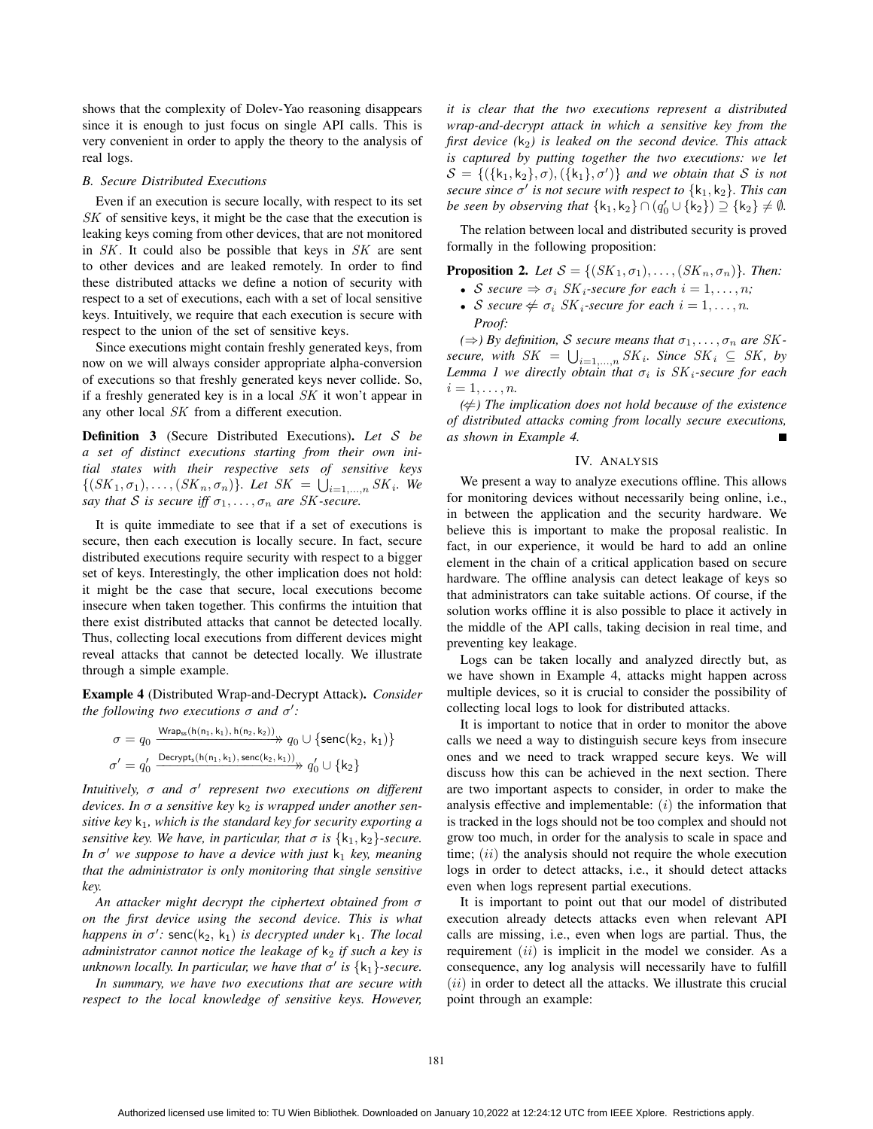shows that the complexity of Dolev-Yao reasoning disappears since it is enough to just focus on single API calls. This is very convenient in order to apply the theory to the analysis of real logs.

#### *B. Secure Distributed Executions*

Even if an execution is secure locally, with respect to its set SK of sensitive keys, it might be the case that the execution is leaking keys coming from other devices, that are not monitored in SK. It could also be possible that keys in SK are sent to other devices and are leaked remotely. In order to find these distributed attacks we define a notion of security with respect to a set of executions, each with a set of local sensitive keys. Intuitively, we require that each execution is secure with respect to the union of the set of sensitive keys.

Since executions might contain freshly generated keys, from now on we will always consider appropriate alpha-conversion of executions so that freshly generated keys never collide. So, if a freshly generated key is in a local  $SK$  it won't appear in any other local SK from a different execution.

Definition 3 (Secure Distributed Executions). *Let* S *be a set of distinct executions starting from their own initial states with their respective sets of sensitive keys*  $\{(SK_1, \sigma_1), \ldots, (SK_n, \sigma_n)\}\$ *. Let*  $SK = \bigcup_{i=1,\ldots,n} SK_i$ *. We*<br>say that S is secure iff  $\sigma_i$  are SK-secure *say that S is secure iff*  $\sigma_1, \ldots, \sigma_n$  *are SK-secure.* 

It is quite immediate to see that if a set of executions is secure, then each execution is locally secure. In fact, secure distributed executions require security with respect to a bigger set of keys. Interestingly, the other implication does not hold: it might be the case that secure, local executions become insecure when taken together. This confirms the intuition that there exist distributed attacks that cannot be detected locally. Thus, collecting local executions from different devices might reveal attacks that cannot be detected locally. We illustrate through a simple example.

Example 4 (Distributed Wrap-and-Decrypt Attack). *Consider the following two executions*  $\sigma$  *and*  $\sigma'$ :

$$
\sigma = q_0 \xrightarrow{\text{Wrap}_{\text{ss}}(\text{h}(\text{n}_1, \text{k}_1), \text{h}(\text{n}_2, \text{k}_2))} q_0 \cup \{\text{senc}(\text{k}_2, \text{k}_1)\}\
$$

$$
\sigma' = q'_0 \xrightarrow{\text{Decrypt}_\text{s}(\text{h}(\text{n}_1, \text{k}_1), \text{senc}(\text{k}_2, \text{k}_1))} q'_0 \cup \{\text{k}_2\}
$$

*Intuitively, σ and σ' represent two executions on different*<br>devices In σ a sensitive key ke is wranned under another sen*devices. In*  $\sigma$  *a sensitive key*  $k_2$  *is wrapped under another sensitive key* k1*, which is the standard key for security exporting a sensitive key. We have, in particular, that*  $\sigma$  *is*  $\{k_1, k_2\}$ *-secure. In*  $\sigma'$  we suppose to have a device with just  $k_1$  *key, meaning* that the administrator is only monitoring that single sensitive *that the administrator is only monitoring that single sensitive key.*

*An attacker might decrypt the ciphertext obtained from* σ *on the first device using the second device. This is what happens in*  $\sigma'$ : senc $(k_2, k_1)$  *is decrypted under*  $k_1$ *. The local administrator cannot notice the leakage of*  $k_2$  *if such a key is administrator cannot notice the leakage of*  $k_2$  *if such a key is unknown locally. In particular, we have that*  $\sigma'$  is  $\{k_1\}$ -secure.<br>In summary, we have two executions that are secure with

*In summary, we have two executions that are secure with respect to the local knowledge of sensitive keys. However,* *it is clear that the two executions represent a distributed wrap-and-decrypt attack in which a sensitive key from the first device*  $(k_2)$  *is leaked on the second device. This attack is captured by putting together the two executions: we let*  $S = \{ (\{k_1, k_2\}, \sigma), (\{k_1\}, \sigma') \}$  and we obtain that *S* is not<br>secure since  $\sigma'$  is not secure with respect to  $\{k_1, k_2\}$ . This can *secure since*  $\sigma'$  *is not secure with respect to*  $\{k_1, k_2\}$ *. This can he seen by observing that*  $\{k_1, k_2\} \cap (\sigma' \cup \{k_2\}) \supset \{k_2\} \neq \emptyset$ *be seen by observing that*  $\{k_1, k_2\} \cap (q'_0 \cup \{k_2\}) \supseteq \{k_2\} \neq \emptyset$ .

The relation between local and distributed security is proved formally in the following proposition:

**Proposition 2.** *Let*  $S = \{ (SK_1, \sigma_1), \ldots, (SK_n, \sigma_n) \}$ *. Then:* 

- *S secure*  $\Rightarrow \sigma_i$  *SK*<sub>*i*</sub>-secure for each  $i = 1, \ldots, n$ ;
- *S* secure  $\notin \sigma_i$  *SK*<sub>*i*</sub>-secure for each  $i = 1, \ldots, n$ *. Proof:*

 $(\Rightarrow)$  *By definition, S secure means that*  $\sigma_1, \ldots, \sigma_n$  *are SK*- $\textit{secure, with } SK = \bigcup_{i=1,\ldots,n} SK_i.$  Since  $SK_i \subseteq SK,$  by *Lemma 1 we directly obtain that*  $\sigma_i$  *is*  $SK_i$ -secure for each  $i = 1, \ldots, n$ .

*(*⇐*) The implication does not hold because of the existence of distributed attacks coming from locally secure executions, as shown in Example 4.*

## IV. ANALYSIS

We present a way to analyze executions offline. This allows for monitoring devices without necessarily being online, i.e., in between the application and the security hardware. We believe this is important to make the proposal realistic. In fact, in our experience, it would be hard to add an online element in the chain of a critical application based on secure hardware. The offline analysis can detect leakage of keys so that administrators can take suitable actions. Of course, if the solution works offline it is also possible to place it actively in the middle of the API calls, taking decision in real time, and preventing key leakage.

Logs can be taken locally and analyzed directly but, as we have shown in Example 4, attacks might happen across multiple devices, so it is crucial to consider the possibility of collecting local logs to look for distributed attacks.

It is important to notice that in order to monitor the above calls we need a way to distinguish secure keys from insecure ones and we need to track wrapped secure keys. We will discuss how this can be achieved in the next section. There are two important aspects to consider, in order to make the analysis effective and implementable:  $(i)$  the information that is tracked in the logs should not be too complex and should not grow too much, in order for the analysis to scale in space and time;  $(ii)$  the analysis should not require the whole execution logs in order to detect attacks, i.e., it should detect attacks even when logs represent partial executions.

It is important to point out that our model of distributed execution already detects attacks even when relevant API calls are missing, i.e., even when logs are partial. Thus, the requirement  $(ii)$  is implicit in the model we consider. As a consequence, any log analysis will necessarily have to fulfill  $(ii)$  in order to detect all the attacks. We illustrate this crucial point through an example: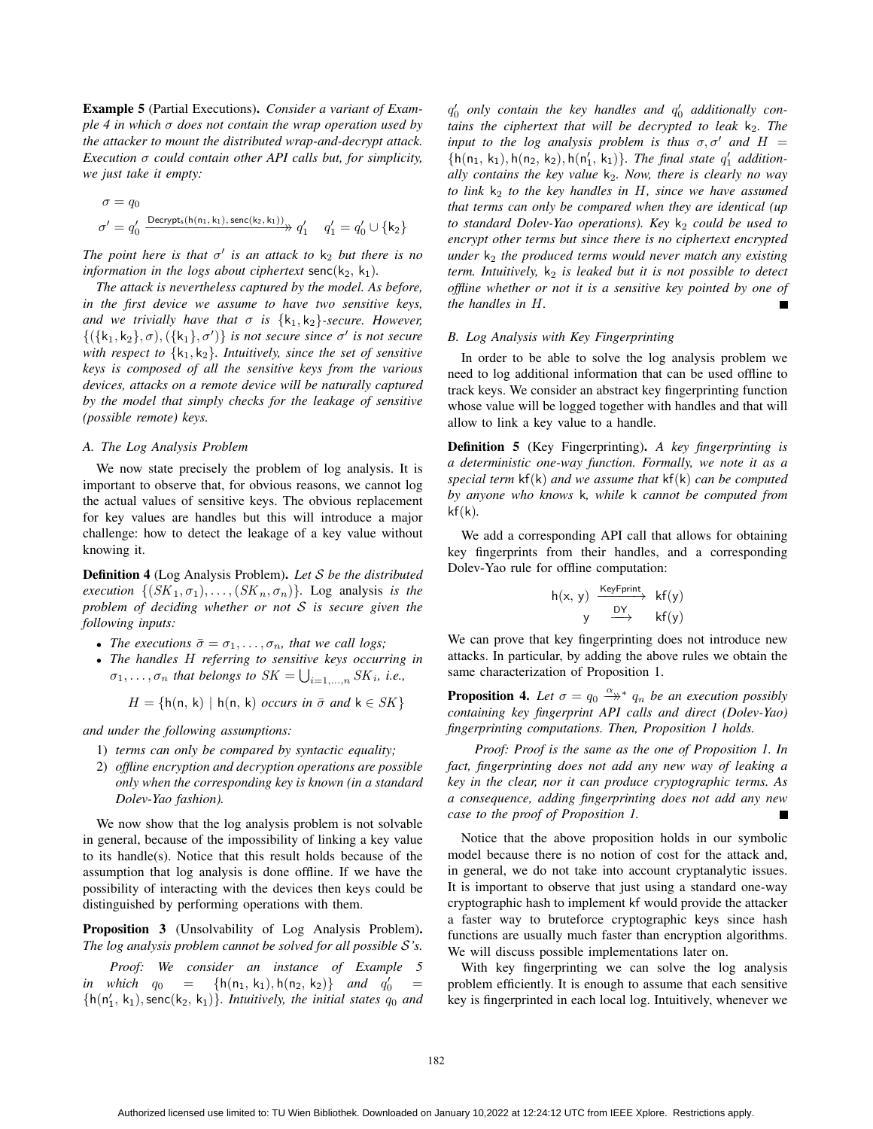Example 5 (Partial Executions). *Consider a variant of Example 4 in which* σ *does not contain the wrap operation used by the attacker to mount the distributed wrap-and-decrypt attack. Execution* σ *could contain other API calls but, for simplicity, we just take it empty:*

$$
\begin{aligned}\n\sigma &= q_0 \\
\sigma' &= q_0' \xrightarrow{\text{Decrypt}_s(\mathsf{h}(\mathsf{n}_1, \mathsf{k}_1), \text{senc}(\mathsf{k}_2, \mathsf{k}_1))} \eta_1' \\
q_1' &= q_0' \cup \{\mathsf{k}_2\}\n\end{aligned}
$$

*The point here is that*  $\sigma'$  *is an attack to*  $k_2$  *but there is no information in the logs about cinhertext* senc( $k_2$ ,  $k_1$ ) *information in the logs about ciphertext* senc $(k_2, k_1)$ *.* 

*The attack is nevertheless captured by the model. As before, in the first device we assume to have two sensitive keys, and we trivially have that*  $\sigma$  *is*  $\{k_1, k_2\}$ *-secure. However,*  $\{(\{k_1, k_2\}, \sigma), (\{k_1\}, \sigma')\}$  *is not secure since*  $\sigma'$  *is not secure*<br>with respect to  $\{k_1, k_2\}$ . Intuitively since the set of sensitive *with respect to*  $\{k_1, k_2\}$ *. Intuitively, since the set of sensitive keys is composed of all the sensitive keys from the various devices, attacks on a remote device will be naturally captured by the model that simply checks for the leakage of sensitive (possible remote) keys.*

## *A. The Log Analysis Problem*

We now state precisely the problem of log analysis. It is important to observe that, for obvious reasons, we cannot log the actual values of sensitive keys. The obvious replacement for key values are handles but this will introduce a major challenge: how to detect the leakage of a key value without knowing it.

Definition 4 (Log Analysis Problem). *Let* S *be the distributed execution*  $\{(SK_1, \sigma_1), \ldots, (SK_n, \sigma_n)\}.$  Log analysis *is the problem of deciding whether or not* S *is secure given the following inputs:*

- *The executions*  $\bar{\sigma} = \sigma_1, \ldots, \sigma_n$ *, that we call logs;*
- *The handles* H *referring to sensitive keys occurring in*  $\sigma_1, \ldots, \sigma_n$  *that belongs to*  $SK = \bigcup_{i=1,\ldots,n} SK_i$ *, i.e.,*

 $H = \{h(n, k) \mid h(n, k) \text{ occurs in } \bar{\sigma} \text{ and } k \in SK\}$ 

*and under the following assumptions:*

- 1) *terms can only be compared by syntactic equality;*
- 2) *offline encryption and decryption operations are possible only when the corresponding key is known (in a standard Dolev-Yao fashion).*

We now show that the log analysis problem is not solvable in general, because of the impossibility of linking a key value to its handle(s). Notice that this result holds because of the assumption that log analysis is done offline. If we have the possibility of interacting with the devices then keys could be distinguished by performing operations with them.

Proposition 3 (Unsolvability of Log Analysis Problem). *The log analysis problem cannot be solved for all possible* S*'s.*

*Proof: We consider an instance of Example 5 in which*  $q_0 = \{h(n_1, k_1), h(n_2, k_2)\}$  *and*  $q'_0 =$ <br>
(h(n' k) senc(ks k)) Intuitively the initial states as and  $\{h(n'_1, k_1), \text{senc}(k_2, k_1)\}\$ . *Intuitively, the initial states*  $q_0$  *and* 

 $q'_0$  only contain the key handles and  $q'_0$  additionally con-<br>tains the cinhertext that will be decrypted to leak ke. The *tains the ciphertext that will be decrypted to leak*  $k_2$ *. The input to the log analysis problem is thus*  $\sigma$ ,  $\sigma'$  *and*  $H =$ <br>*Ab(p, k,)*  $h(p_0, k_0)$   $h(p'_0, k_1)$ *). The final state of addition-* $\{h(n_1, k_1), h(n_2, k_2), h(n'_1, k_1)\}$ *. The final state*  $q'_1$  *additionally contains the key value key Now there is clearly no way ally contains the key value* k2*. Now, there is clearly no way to link* <sup>k</sup><sup>2</sup> *to the key handles in* <sup>H</sup>*, since we have assumed that terms can only be compared when they are identical (up* to standard Dolev-Yao operations). Key k<sub>2</sub> could be used to *encrypt other terms but since there is no ciphertext encrypted under* k<sup>2</sup> *the produced terms would never match any existing term. Intuitively,*  $k_2$  *is leaked but it is not possible to detect offline whether or not it is a sensitive key pointed by one of the handles in* H*.*

## *B. Log Analysis with Key Fingerprinting*

In order to be able to solve the log analysis problem we need to log additional information that can be used offline to track keys. We consider an abstract key fingerprinting function whose value will be logged together with handles and that will allow to link a key value to a handle.

Definition 5 (Key Fingerprinting). *A key fingerprinting is a deterministic one-way function. Formally, we note it as a special term* kf(k) *and we assume that* kf(k) *can be computed by anyone who knows* k*, while* k *cannot be computed from* kf(k)*.*

We add a corresponding API call that allows for obtaining key fingerprints from their handles, and a corresponding Dolev-Yao rule for offline computation:

$$
\begin{array}{ccc}\nh(x, y) & \xrightarrow{\text{KeyFprint}} & kf(y) \\
y & \xrightarrow{\text{DY}} & kf(y)\n\end{array}
$$

We can prove that key fingerprinting does not introduce new attacks. In particular, by adding the above rules we obtain the same characterization of Proposition 1.

**Proposition 4.** Let  $\sigma = q_0 \stackrel{\alpha}{\rightarrow}^* q_n$  be an execution possibly<br>containing key fingerprint APL calls and direct (Doley-Yao) *containing key fingerprint API calls and direct (Dolev-Yao) fingerprinting computations. Then, Proposition 1 holds.*

*Proof: Proof is the same as the one of Proposition 1. In fact, fingerprinting does not add any new way of leaking a key in the clear, nor it can produce cryptographic terms. As a consequence, adding fingerprinting does not add any new case to the proof of Proposition 1.*

Notice that the above proposition holds in our symbolic model because there is no notion of cost for the attack and, in general, we do not take into account cryptanalytic issues. It is important to observe that just using a standard one-way cryptographic hash to implement kf would provide the attacker a faster way to bruteforce cryptographic keys since hash functions are usually much faster than encryption algorithms. We will discuss possible implementations later on.

With key fingerprinting we can solve the log analysis problem efficiently. It is enough to assume that each sensitive key is fingerprinted in each local log. Intuitively, whenever we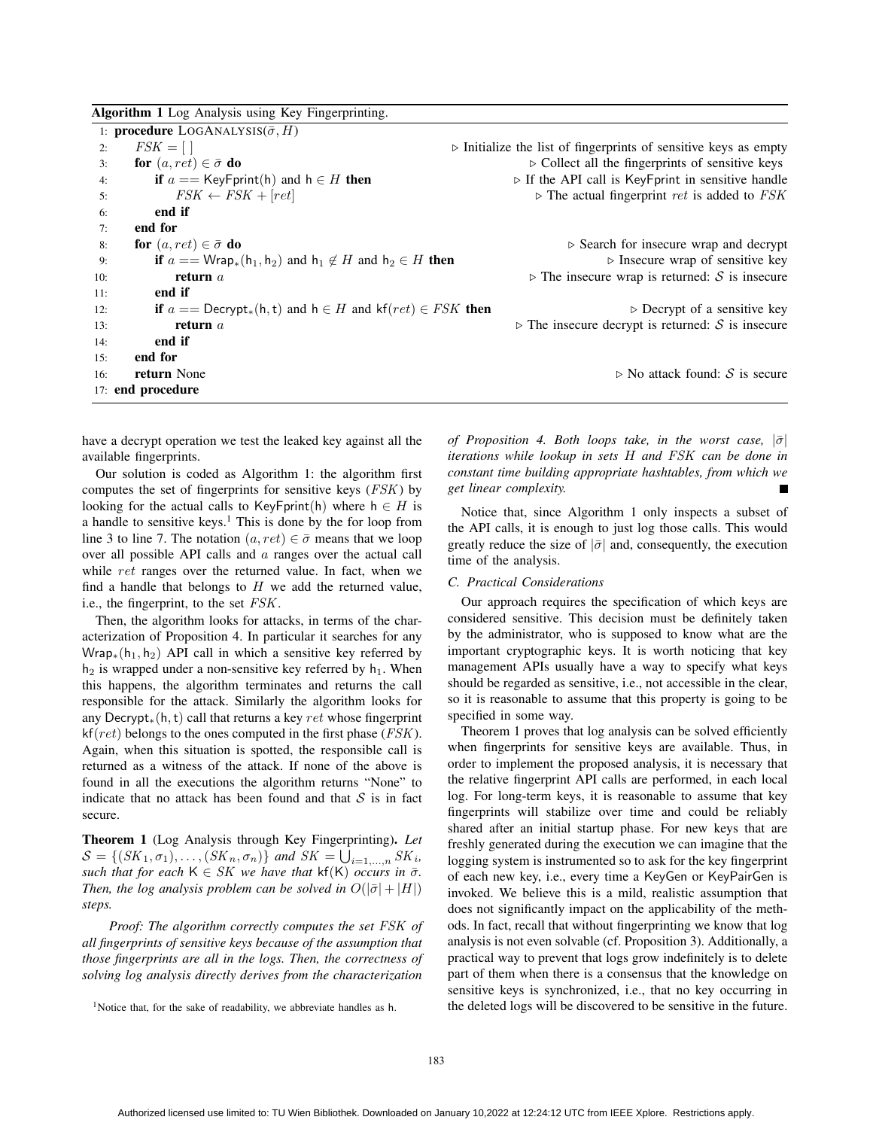| <b>Algorithm 1</b> Log Analysis using Key Fingerprinting. |                                                                                            |                                                                                 |
|-----------------------------------------------------------|--------------------------------------------------------------------------------------------|---------------------------------------------------------------------------------|
|                                                           | 1: <b>procedure</b> LOGANALYSIS( $\bar{\sigma}$ , H)                                       |                                                                                 |
| 2:                                                        | $FSK = \lceil \rceil$                                                                      | $\triangleright$ Initialize the list of fingerprints of sensitive keys as empty |
| 3:                                                        | for $(a, ret) \in \bar{\sigma}$ do                                                         | $\triangleright$ Collect all the fingerprints of sensitive keys                 |
| 4:                                                        | <b>if</b> $a ==$ KeyFprint(h) and $h \in H$ then                                           | $\triangleright$ If the API call is KeyFprint in sensitive handle               |
| 5:                                                        | $FSK \leftarrow FSK + [ret]$                                                               | $\triangleright$ The actual fingerprint ret is added to FSK                     |
| 6:                                                        | end if                                                                                     |                                                                                 |
| 7:                                                        | end for                                                                                    |                                                                                 |
| 8:                                                        | for $(a, ret) \in \bar{\sigma}$ do                                                         | $\triangleright$ Search for insecure wrap and decrypt                           |
| 9:                                                        | <b>if</b> $a == W$ rap <sub>*</sub> ( $h_1, h_2$ ) and $h_1 \notin H$ and $h_2 \in H$ then | $\triangleright$ Insecure wrap of sensitive key                                 |
| 10:                                                       | return $a$                                                                                 | $\triangleright$ The insecure wrap is returned: S is insecure                   |
| 11:                                                       | end if                                                                                     |                                                                                 |
| 12:                                                       | <b>if</b> $a == \text{Decrypt}_*(h, t)$ and $h \in H$ and $kf(ret) \in FSK$ then           | $\triangleright$ Decrypt of a sensitive key                                     |
| 13:                                                       | return a                                                                                   | $\triangleright$ The insecure decrypt is returned: S is insecure                |
| 14:                                                       | end if                                                                                     |                                                                                 |
| 15:                                                       | end for                                                                                    |                                                                                 |
| 16:                                                       | return None                                                                                | $\triangleright$ No attack found: S is secure                                   |
| 17: end procedure                                         |                                                                                            |                                                                                 |

have a decrypt operation we test the leaked key against all the available fingerprints.

Our solution is coded as Algorithm 1: the algorithm first computes the set of fingerprints for sensitive keys (FSK) by looking for the actual calls to KeyFprint(h) where  $h \in H$  is a handle to sensitive keys.<sup>1</sup> This is done by the for loop from line 3 to line 7. The notation  $(a, ret) \in \bar{\sigma}$  means that we loop over all possible API calls and a ranges over the actual call while ret ranges over the returned value. In fact, when we find a handle that belongs to  $H$  we add the returned value, i.e., the fingerprint, to the set FSK.

Then, the algorithm looks for attacks, in terms of the characterization of Proposition 4. In particular it searches for any Wrap<sub>∗</sub>(h<sub>1</sub>, h<sub>2</sub>) API call in which a sensitive key referred by  $h_2$  is wrapped under a non-sensitive key referred by  $h_1$ . When this happens, the algorithm terminates and returns the call responsible for the attack. Similarly the algorithm looks for any Decrypt<sub>\*</sub>(h, t) call that returns a key ret whose fingerprint  $kf(ret)$  belongs to the ones computed in the first phase ( $FSK$ ). Again, when this situation is spotted, the responsible call is returned as a witness of the attack. If none of the above is found in all the executions the algorithm returns "None" to indicate that no attack has been found and that  $S$  is in fact secure.

Theorem 1 (Log Analysis through Key Fingerprinting). *Let*  $S = \{ (SK_1, \sigma_1), \ldots, (SK_n, \sigma_n) \}$  and  $SK = \bigcup_{i=1,\ldots,n} SK_i$ ,<br>such that for each  $K \subseteq SK$  we have that  $kf(K)$  occurs in  $\bar{\sigma}$ *such that for each*  $K \in SK$  *we have that*  $kf(K)$  *occurs in*  $\bar{\sigma}$ *. Then, the log analysis problem can be solved in*  $O(|\bar{\sigma}| + |H|)$ *steps.*

*Proof: The algorithm correctly computes the set* FSK *of all fingerprints of sensitive keys because of the assumption that those fingerprints are all in the logs. Then, the correctness of solving log analysis directly derives from the characterization* *of Proposition 4. Both loops take, in the worst case,*  $|\bar{\sigma}|$ *iterations while lookup in sets* H *and* FSK *can be done in constant time building appropriate hashtables, from which we get linear complexity.*

Notice that, since Algorithm 1 only inspects a subset of the API calls, it is enough to just log those calls. This would greatly reduce the size of  $|\bar{\sigma}|$  and, consequently, the execution time of the analysis.

## *C. Practical Considerations*

Our approach requires the specification of which keys are considered sensitive. This decision must be definitely taken by the administrator, who is supposed to know what are the important cryptographic keys. It is worth noticing that key management APIs usually have a way to specify what keys should be regarded as sensitive, i.e., not accessible in the clear, so it is reasonable to assume that this property is going to be specified in some way.

Theorem 1 proves that log analysis can be solved efficiently when fingerprints for sensitive keys are available. Thus, in order to implement the proposed analysis, it is necessary that the relative fingerprint API calls are performed, in each local log. For long-term keys, it is reasonable to assume that key fingerprints will stabilize over time and could be reliably shared after an initial startup phase. For new keys that are freshly generated during the execution we can imagine that the logging system is instrumented so to ask for the key fingerprint of each new key, i.e., every time a KeyGen or KeyPairGen is invoked. We believe this is a mild, realistic assumption that does not significantly impact on the applicability of the methods. In fact, recall that without fingerprinting we know that log analysis is not even solvable (cf. Proposition 3). Additionally, a practical way to prevent that logs grow indefinitely is to delete part of them when there is a consensus that the knowledge on sensitive keys is synchronized, i.e., that no key occurring in the deleted logs will be discovered to be sensitive in the future.

<sup>&</sup>lt;sup>1</sup>Notice that, for the sake of readability, we abbreviate handles as h.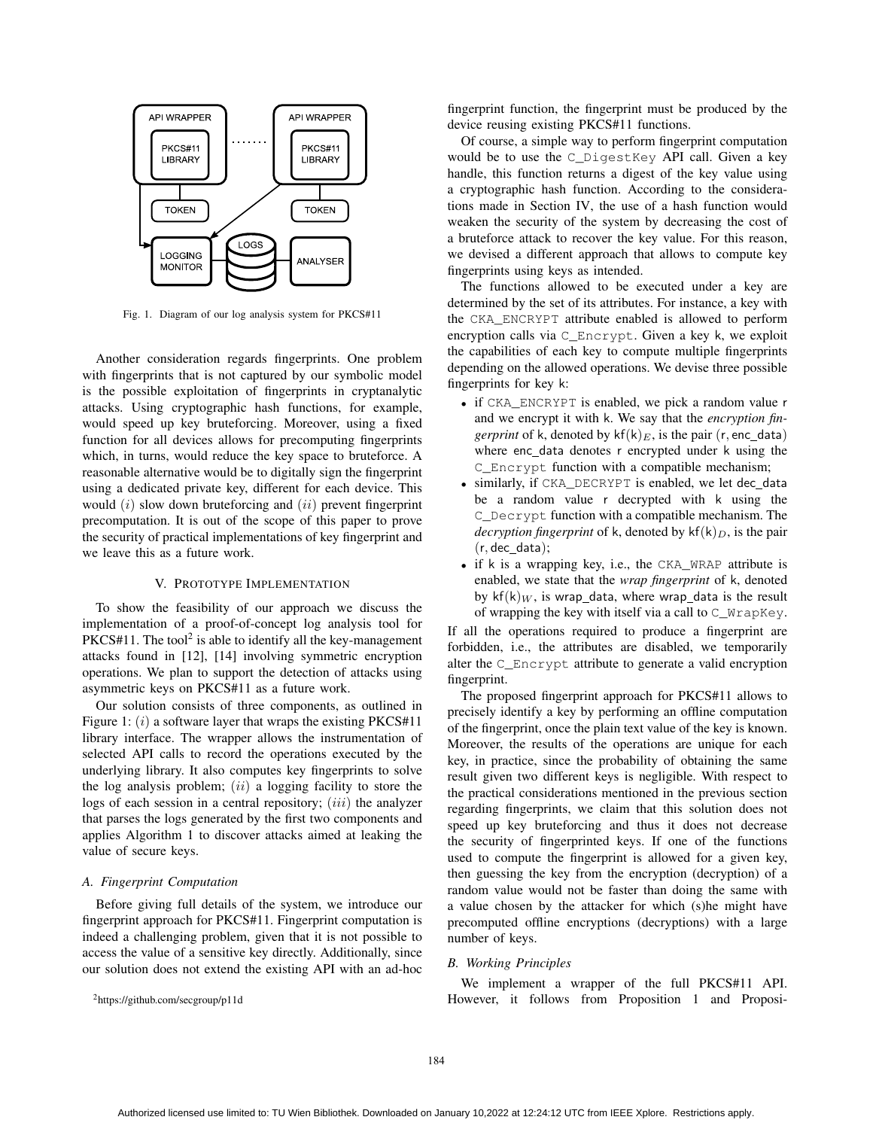

Fig. 1. Diagram of our log analysis system for PKCS#11

Another consideration regards fingerprints. One problem with fingerprints that is not captured by our symbolic model is the possible exploitation of fingerprints in cryptanalytic attacks. Using cryptographic hash functions, for example, would speed up key bruteforcing. Moreover, using a fixed function for all devices allows for precomputing fingerprints which, in turns, would reduce the key space to bruteforce. A reasonable alternative would be to digitally sign the fingerprint using a dedicated private key, different for each device. This would  $(i)$  slow down bruteforcing and  $(ii)$  prevent fingerprint precomputation. It is out of the scope of this paper to prove the security of practical implementations of key fingerprint and we leave this as a future work.

# V. PROTOTYPE IMPLEMENTATION

To show the feasibility of our approach we discuss the implementation of a proof-of-concept log analysis tool for  $PKCS#11$ . The tool<sup>2</sup> is able to identify all the key-management attacks found in [12], [14] involving symmetric encryption operations. We plan to support the detection of attacks using asymmetric keys on PKCS#11 as a future work.

Our solution consists of three components, as outlined in Figure 1:  $(i)$  a software layer that wraps the existing PKCS#11 library interface. The wrapper allows the instrumentation of selected API calls to record the operations executed by the underlying library. It also computes key fingerprints to solve the log analysis problem;  $(ii)$  a logging facility to store the logs of each session in a central repository;  $(iii)$  the analyzer that parses the logs generated by the first two components and applies Algorithm 1 to discover attacks aimed at leaking the value of secure keys.

## *A. Fingerprint Computation*

Before giving full details of the system, we introduce our fingerprint approach for PKCS#11. Fingerprint computation is indeed a challenging problem, given that it is not possible to access the value of a sensitive key directly. Additionally, since our solution does not extend the existing API with an ad-hoc

fingerprint function, the fingerprint must be produced by the device reusing existing PKCS#11 functions.

Of course, a simple way to perform fingerprint computation would be to use the C\_DigestKey API call. Given a key handle, this function returns a digest of the key value using a cryptographic hash function. According to the considerations made in Section IV, the use of a hash function would weaken the security of the system by decreasing the cost of a bruteforce attack to recover the key value. For this reason, we devised a different approach that allows to compute key fingerprints using keys as intended.

The functions allowed to be executed under a key are determined by the set of its attributes. For instance, a key with the CKA\_ENCRYPT attribute enabled is allowed to perform encryption calls via C\_Encrypt. Given a key k, we exploit the capabilities of each key to compute multiple fingerprints depending on the allowed operations. We devise three possible fingerprints for key k:

- if CKA ENCRYPT is enabled, we pick a random value r and we encrypt it with k. We say that the *encryption fingerprint* of k, denoted by  $kf(k)<sub>E</sub>$ , is the pair (r, enc\_data) where enc data denotes r encrypted under k using the C\_Encrypt function with a compatible mechanism;
- similarly, if CKA\_DECRYPT is enabled, we let dec\_data be a random value r decrypted with k using the C\_Decrypt function with a compatible mechanism. The *decryption fingerprint* of k, denoted by  $kf(k)_D$ , is the pair  $(r, dec_data);$
- if k is a wrapping key, i.e., the CKA\_WRAP attribute is enabled, we state that the *wrap fingerprint* of k, denoted by  $kf(k)<sub>W</sub>$ , is wrap\_data, where wrap\_data is the result of wrapping the key with itself via a call to C\_WrapKey.

If all the operations required to produce a fingerprint are forbidden, i.e., the attributes are disabled, we temporarily alter the C\_Encrypt attribute to generate a valid encryption fingerprint.

The proposed fingerprint approach for PKCS#11 allows to precisely identify a key by performing an offline computation of the fingerprint, once the plain text value of the key is known. Moreover, the results of the operations are unique for each key, in practice, since the probability of obtaining the same result given two different keys is negligible. With respect to the practical considerations mentioned in the previous section regarding fingerprints, we claim that this solution does not speed up key bruteforcing and thus it does not decrease the security of fingerprinted keys. If one of the functions used to compute the fingerprint is allowed for a given key, then guessing the key from the encryption (decryption) of a random value would not be faster than doing the same with a value chosen by the attacker for which (s)he might have precomputed offline encryptions (decryptions) with a large number of keys.

## *B. Working Principles*

We implement a wrapper of the full PKCS#11 API. However, it follows from Proposition 1 and Proposi-

<sup>2</sup>https://github.com/secgroup/p11d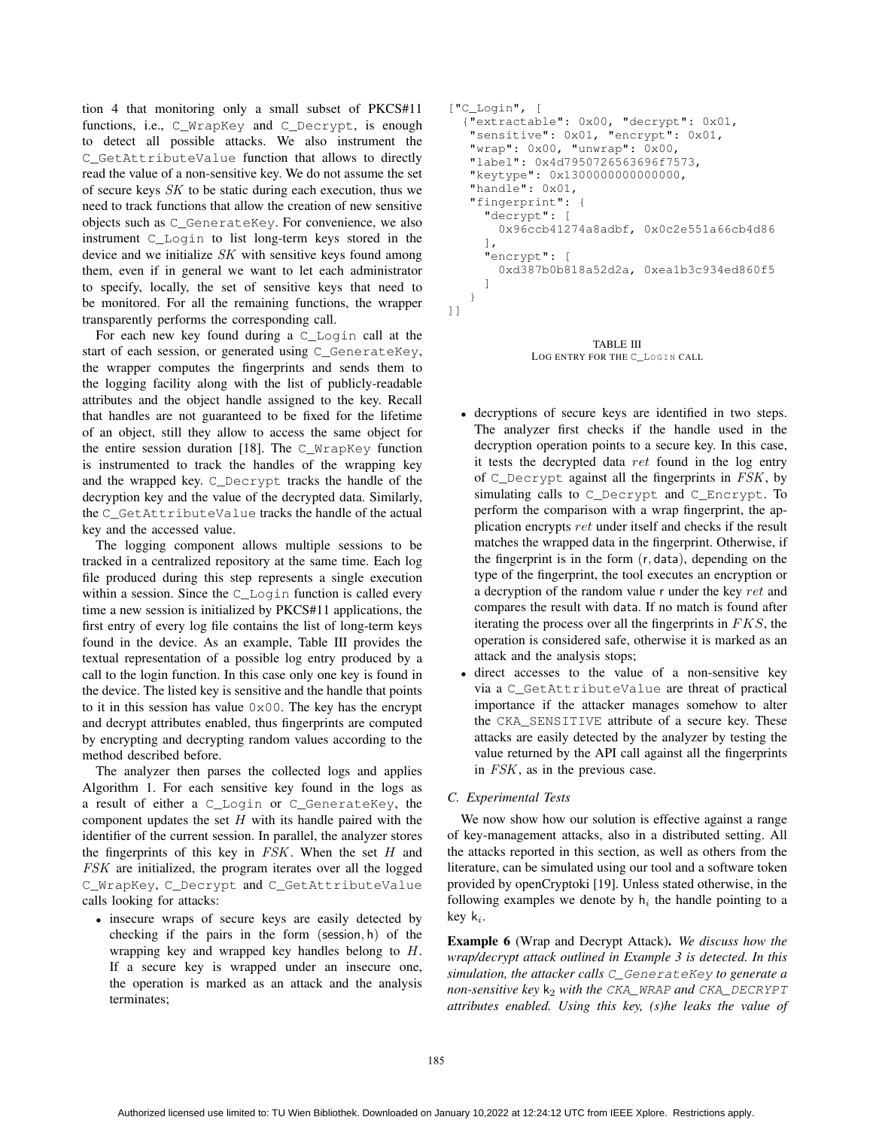tion 4 that monitoring only a small subset of PKCS#11 functions, i.e., C\_WrapKey and C\_Decrypt, is enough to detect all possible attacks. We also instrument the C\_GetAttributeValue function that allows to directly read the value of a non-sensitive key. We do not assume the set of secure keys SK to be static during each execution, thus we need to track functions that allow the creation of new sensitive objects such as C\_GenerateKey. For convenience, we also instrument C\_Login to list long-term keys stored in the device and we initialize SK with sensitive keys found among them, even if in general we want to let each administrator to specify, locally, the set of sensitive keys that need to be monitored. For all the remaining functions, the wrapper transparently performs the corresponding call.

For each new key found during a C\_Login call at the start of each session, or generated using C\_GenerateKey, the wrapper computes the fingerprints and sends them to the logging facility along with the list of publicly-readable attributes and the object handle assigned to the key. Recall that handles are not guaranteed to be fixed for the lifetime of an object, still they allow to access the same object for the entire session duration [18]. The C\_WrapKey function is instrumented to track the handles of the wrapping key and the wrapped key. C\_Decrypt tracks the handle of the decryption key and the value of the decrypted data. Similarly, the C\_GetAttributeValue tracks the handle of the actual key and the accessed value.

The logging component allows multiple sessions to be tracked in a centralized repository at the same time. Each log file produced during this step represents a single execution within a session. Since the C\_Login function is called every time a new session is initialized by PKCS#11 applications, the first entry of every log file contains the list of long-term keys found in the device. As an example, Table III provides the textual representation of a possible log entry produced by a call to the login function. In this case only one key is found in the device. The listed key is sensitive and the handle that points to it in this session has value  $0 \times 00$ . The key has the encrypt and decrypt attributes enabled, thus fingerprints are computed by encrypting and decrypting random values according to the method described before.

The analyzer then parses the collected logs and applies Algorithm 1. For each sensitive key found in the logs as a result of either a C\_Login or C\_GenerateKey, the component updates the set  $H$  with its handle paired with the identifier of the current session. In parallel, the analyzer stores the fingerprints of this key in  $FSK$ . When the set  $H$  and FSK are initialized, the program iterates over all the logged C\_WrapKey, C\_Decrypt and C\_GetAttributeValue calls looking for attacks:

• insecure wraps of secure keys are easily detected by checking if the pairs in the form (session, <sup>h</sup>) of the wrapping key and wrapped key handles belong to H. If a secure key is wrapped under an insecure one, the operation is marked as an attack and the analysis terminates;

```
["C_Login", [
  {"extractable": 0x00, "decrypt": 0x01,
   "sensitive": 0x01, "encrypt": 0x01,
   "wrap": 0x00, "unwrap": 0x00,
   "label": 0x4d7950726563696f7573,
   "keytype": 0x1300000000000000,
   "handle": 0x01,
   "fingerprint": {
     "decrypt": [
       0x96ccb41274a8adbf, 0x0c2e551a66cb4d86
     \cdot"encrypt": [
       0xd387b0b818a52d2a, 0xea1b3c934ed860f5
     ]
   }
]]
```
TABLE III LOG ENTRY FOR THE C\_LOGIN CALL

- decryptions of secure keys are identified in two steps. The analyzer first checks if the handle used in the decryption operation points to a secure key. In this case, it tests the decrypted data ret found in the log entry of  $C$  Decrypt against all the fingerprints in  $FSK$ , by simulating calls to C\_Decrypt and C\_Encrypt. To perform the comparison with a wrap fingerprint, the application encrypts ret under itself and checks if the result matches the wrapped data in the fingerprint. Otherwise, if the fingerprint is in the form (r, data), depending on the type of the fingerprint, the tool executes an encryption or a decryption of the random value <sup>r</sup> under the key ret and compares the result with data. If no match is found after iterating the process over all the fingerprints in FKS, the operation is considered safe, otherwise it is marked as an attack and the analysis stops;
- direct accesses to the value of a non-sensitive key via a C\_GetAttributeValue are threat of practical importance if the attacker manages somehow to alter the CKA\_SENSITIVE attribute of a secure key. These attacks are easily detected by the analyzer by testing the value returned by the API call against all the fingerprints in FSK, as in the previous case.

# *C. Experimental Tests*

We now show how our solution is effective against a range of key-management attacks, also in a distributed setting. All the attacks reported in this section, as well as others from the literature, can be simulated using our tool and a software token provided by openCryptoki [19]. Unless stated otherwise, in the following examples we denote by  $h_i$  the handle pointing to a key  $k_i$ .

Example 6 (Wrap and Decrypt Attack). *We discuss how the wrap/decrypt attack outlined in Example 3 is detected. In this simulation, the attacker calls* C\_GenerateKey *to generate a non-sensitive key*  $k_2$  *with the CKA\_WRAP and CKA\_DECRYPT attributes enabled. Using this key, (s)he leaks the value of*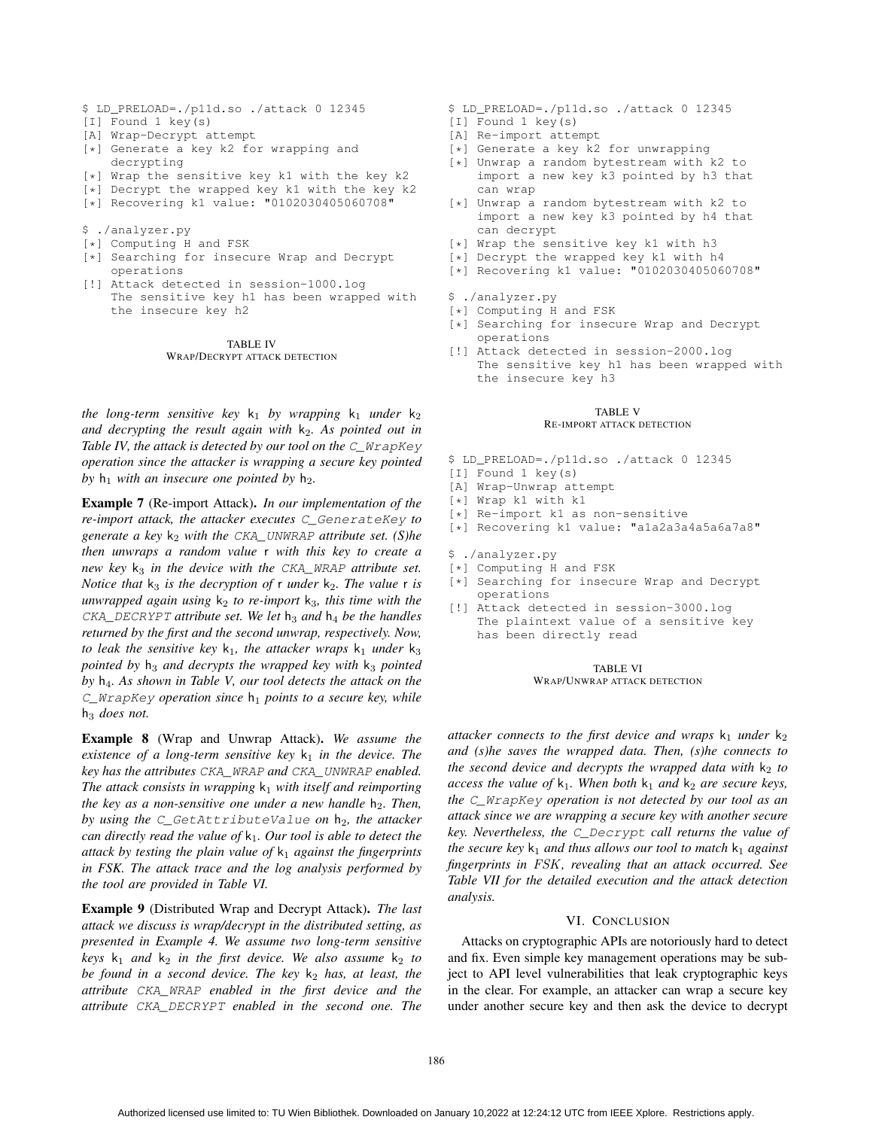- \$ LD\_PRELOAD=./p11d.so ./attack 0 12345
- [I] Found 1 key(s)
- [A] Wrap-Decrypt attempt
- [\*] Generate a key k2 for wrapping and decrypting
- [\*] Wrap the sensitive key k1 with the key k2
- [\*] Decrypt the wrapped key k1 with the key k2
- [\*] Recovering k1 value: "0102030405060708"
- \$ ./analyzer.py
- [\*] Computing H and FSK
- [\*] Searching for insecure Wrap and Decrypt operations
- [!] Attack detected in session-1000.log The sensitive key h1 has been wrapped with the insecure key h2

#### TABLE IV WRAP/DECRYPT ATTACK DETECTION

*the long-term sensitive key*  $k_1$  *by wrapping*  $k_1$  *under*  $k_2$ *and decrypting the result again with* k2*. As pointed out in Table IV, the attack is detected by our tool on the* C\_WrapKey *operation since the attacker is wrapping a secure key pointed* by  $h_1$  *with an insecure one pointed by*  $h_2$ *.* 

Example 7 (Re-import Attack). *In our implementation of the re-import attack, the attacker executes* C\_GenerateKey *to generate a key* k<sup>2</sup> *with the* CKA\_UNWRAP *attribute set. (S)he then unwraps a random value* r *with this key to create a new key*  $k_3$  *in the device with the CKA WRAP attribute set. Notice that*  $k_3$  *is the decryption of* r *under*  $k_2$ *. The value* r *is unwrapped again using*  $k_2$  *to re-import*  $k_3$ *, this time with the* CKA\_DECRYPT *attribute set.* We let  $h_3$  *and*  $h_4$  *be the handles returned by the first and the second unwrap, respectively. Now, to leak the sensitive key*  $k_1$ *, the attacker wraps*  $k_1$  *under*  $k_3$ *pointed by*  $h_3$  *and decrypts the wrapped key with*  $k_3$  *pointed by* h4*. As shown in Table V, our tool detects the attack on the* C\_WrapKey *operation since*  $h_1$  *points to a secure key, while*  $h_3$  *does not.* 

Example 8 (Wrap and Unwrap Attack). *We assume the existence of a long-term sensitive key*  $k_1$  *in the device. The key has the attributes* CKA\_WRAP *and* CKA\_UNWRAP *enabled. The attack consists in wrapping*  $k_1$  *with itself and reimporting the key as a non-sensitive one under a new handle*  $h_2$ *. Then, by using the* C\_GetAttributeValue *on* h2*, the attacker can directly read the value of*  $k_1$ *. Our tool is able to detect the attack by testing the plain value of*  $k_1$  *against the fingerprints in FSK. The attack trace and the log analysis performed by the tool are provided in Table VI.*

Example 9 (Distributed Wrap and Decrypt Attack). *The last attack we discuss is wrap/decrypt in the distributed setting, as presented in Example 4. We assume two long-term sensitive keys*  $k_1$  *and*  $k_2$  *in the first device. We also assume*  $k_2$  *to be found in a second device. The key k<sub>2</sub> <i>has, at least, the attribute* CKA\_WRAP *enabled in the first device and the attribute* CKA\_DECRYPT *enabled in the second one. The*

- \$ LD\_PRELOAD=./p11d.so ./attack 0 12345
- [I] Found 1 key(s)
- [A] Re-import attempt
- [\*] Generate a key k2 for unwrapping
- [\*] Unwrap a random bytestream with k2 to import a new key k3 pointed by h3 that can wrap
- [\*] Unwrap a random bytestream with k2 to import a new key k3 pointed by h4 that can decrypt
- [\*] Wrap the sensitive key k1 with h3
- [\*] Decrypt the wrapped key k1 with h4
- [\*] Recovering k1 value: "0102030405060708"
- \$ ./analyzer.py
- [\*] Computing H and FSK
- [\*] Searching for insecure Wrap and Decrypt operations
- [!] Attack detected in session-2000.log The sensitive key h1 has been wrapped with the insecure key h3

#### TABLE V RE-IMPORT ATTACK DETECTION

- \$ LD\_PRELOAD=./p11d.so ./attack 0 12345
- [I] Found 1 key(s)
- [A] Wrap-Unwrap attempt
- [\*] Wrap k1 with k1
- [\*] Re-import k1 as non-sensitive
- [\*] Recovering k1 value: "a1a2a3a4a5a6a7a8"
- \$ ./analyzer.py
- [\*] Computing H and FSK
- [\*] Searching for insecure Wrap and Decrypt operations
- [!] Attack detected in session-3000.log The plaintext value of a sensitive key has been directly read

#### TABLE VI WRAP/UNWRAP ATTACK DETECTION

*attacker connects to the first device and wraps*  $k_1$  *under*  $k_2$ *and (s)he saves the wrapped data. Then, (s)he connects to the second device and decrypts the wrapped data with*  $k_2$  *to access the value of*  $k_1$ *. When both*  $k_1$  *and*  $k_2$  *are secure keys, the* C\_WrapKey *operation is not detected by our tool as an attack since we are wrapping a secure key with another secure key. Nevertheless, the* C\_Decrypt *call returns the value of the secure key*  $k_1$  *and thus allows our tool to match*  $k_1$  *against fingerprints in* FSK*, revealing that an attack occurred. See Table VII for the detailed execution and the attack detection analysis.*

## VI. CONCLUSION

Attacks on cryptographic APIs are notoriously hard to detect and fix. Even simple key management operations may be subject to API level vulnerabilities that leak cryptographic keys in the clear. For example, an attacker can wrap a secure key under another secure key and then ask the device to decrypt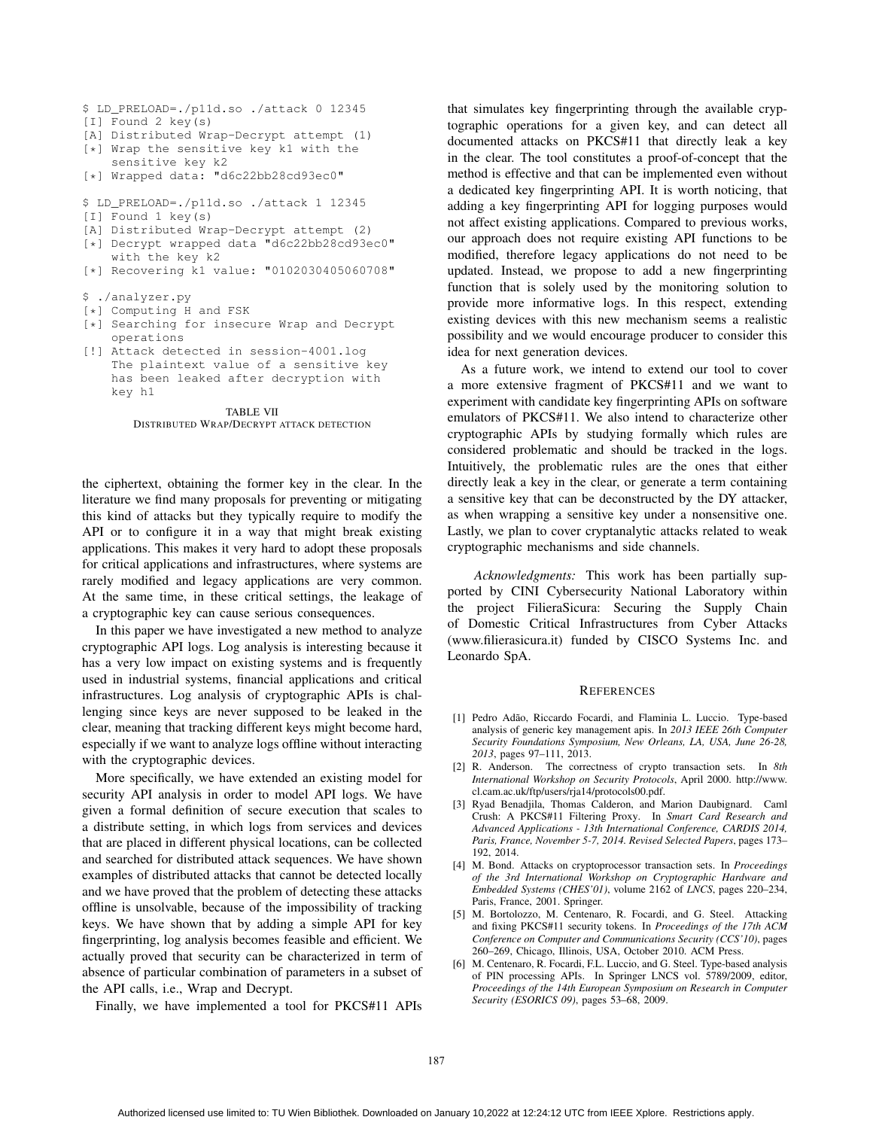```
$ LD_PRELOAD=./p11d.so ./attack 0 12345
[I] Found 2 key(s)
[A] Distributed Wrap-Decrypt attempt (1)
[*] Wrap the sensitive key k1 with the
    sensitive key k2
```

```
[*] Wrapped data: "d6c22bb28cd93ec0"
```

```
$ LD_PRELOAD=./p11d.so ./attack 1 12345
```
- [I] Found 1 key(s)
- [A] Distributed Wrap-Decrypt attempt (2)

```
[*] Decrypt wrapped data "d6c22bb28cd93ec0"
   with the key k2
```
- [\*] Recovering k1 value: "0102030405060708"
- \$ ./analyzer.py
- [\*] Computing H and FSK
- [\*] Searching for insecure Wrap and Decrypt operations
- [!] Attack detected in session-4001.log The plaintext value of a sensitive key has been leaked after decryption with key h1

TABLE VII DISTRIBUTED WRAP/DECRYPT ATTACK DETECTION

the ciphertext, obtaining the former key in the clear. In the literature we find many proposals for preventing or mitigating this kind of attacks but they typically require to modify the API or to configure it in a way that might break existing applications. This makes it very hard to adopt these proposals for critical applications and infrastructures, where systems are rarely modified and legacy applications are very common. At the same time, in these critical settings, the leakage of a cryptographic key can cause serious consequences.

In this paper we have investigated a new method to analyze cryptographic API logs. Log analysis is interesting because it has a very low impact on existing systems and is frequently used in industrial systems, financial applications and critical infrastructures. Log analysis of cryptographic APIs is challenging since keys are never supposed to be leaked in the clear, meaning that tracking different keys might become hard, especially if we want to analyze logs offline without interacting with the cryptographic devices.

More specifically, we have extended an existing model for security API analysis in order to model API logs. We have given a formal definition of secure execution that scales to a distribute setting, in which logs from services and devices that are placed in different physical locations, can be collected and searched for distributed attack sequences. We have shown examples of distributed attacks that cannot be detected locally and we have proved that the problem of detecting these attacks offline is unsolvable, because of the impossibility of tracking keys. We have shown that by adding a simple API for key fingerprinting, log analysis becomes feasible and efficient. We actually proved that security can be characterized in term of absence of particular combination of parameters in a subset of the API calls, i.e., Wrap and Decrypt.

Finally, we have implemented a tool for PKCS#11 APIs

that simulates key fingerprinting through the available cryptographic operations for a given key, and can detect all documented attacks on PKCS#11 that directly leak a key in the clear. The tool constitutes a proof-of-concept that the method is effective and that can be implemented even without a dedicated key fingerprinting API. It is worth noticing, that adding a key fingerprinting API for logging purposes would not affect existing applications. Compared to previous works, our approach does not require existing API functions to be modified, therefore legacy applications do not need to be updated. Instead, we propose to add a new fingerprinting function that is solely used by the monitoring solution to provide more informative logs. In this respect, extending existing devices with this new mechanism seems a realistic possibility and we would encourage producer to consider this idea for next generation devices.

As a future work, we intend to extend our tool to cover a more extensive fragment of PKCS#11 and we want to experiment with candidate key fingerprinting APIs on software emulators of PKCS#11. We also intend to characterize other cryptographic APIs by studying formally which rules are considered problematic and should be tracked in the logs. Intuitively, the problematic rules are the ones that either directly leak a key in the clear, or generate a term containing a sensitive key that can be deconstructed by the DY attacker, as when wrapping a sensitive key under a nonsensitive one. Lastly, we plan to cover cryptanalytic attacks related to weak cryptographic mechanisms and side channels.

*Acknowledgments:* This work has been partially supported by CINI Cybersecurity National Laboratory within the project FilieraSicura: Securing the Supply Chain of Domestic Critical Infrastructures from Cyber Attacks (www.filierasicura.it) funded by CISCO Systems Inc. and Leonardo SpA.

#### **REFERENCES**

- [1] Pedro Adão, Riccardo Focardi, and Flaminia L. Luccio. Type-based analysis of generic key management apis. In *2013 IEEE 26th Computer Security Foundations Symposium, New Orleans, LA, USA, June 26-28, 2013*, pages 97–111, 2013.
- [2] R. Anderson. The correctness of crypto transaction sets. In *8th International Workshop on Security Protocols*, April 2000. http://www. cl.cam.ac.uk/ftp/users/rja14/protocols00.pdf.
- [3] Ryad Benadjila, Thomas Calderon, and Marion Daubignard. Caml Crush: A PKCS#11 Filtering Proxy. In *Smart Card Research and Advanced Applications - 13th International Conference, CARDIS 2014, Paris, France, November 5-7, 2014. Revised Selected Papers*, pages 173– 192, 2014.
- [4] M. Bond. Attacks on cryptoprocessor transaction sets. In *Proceedings of the 3rd International Workshop on Cryptographic Hardware and Embedded Systems (CHES'01)*, volume 2162 of *LNCS*, pages 220–234, Paris, France, 2001. Springer.
- [5] M. Bortolozzo, M. Centenaro, R. Focardi, and G. Steel. Attacking and fixing PKCS#11 security tokens. In *Proceedings of the 17th ACM Conference on Computer and Communications Security (CCS'10)*, pages 260–269, Chicago, Illinois, USA, October 2010. ACM Press.
- [6] M. Centenaro, R. Focardi, F.L. Luccio, and G. Steel. Type-based analysis of PIN processing APIs. In Springer LNCS vol. 5789/2009, editor, *Proceedings of the 14th European Symposium on Research in Computer Security (ESORICS 09)*, pages 53–68, 2009.